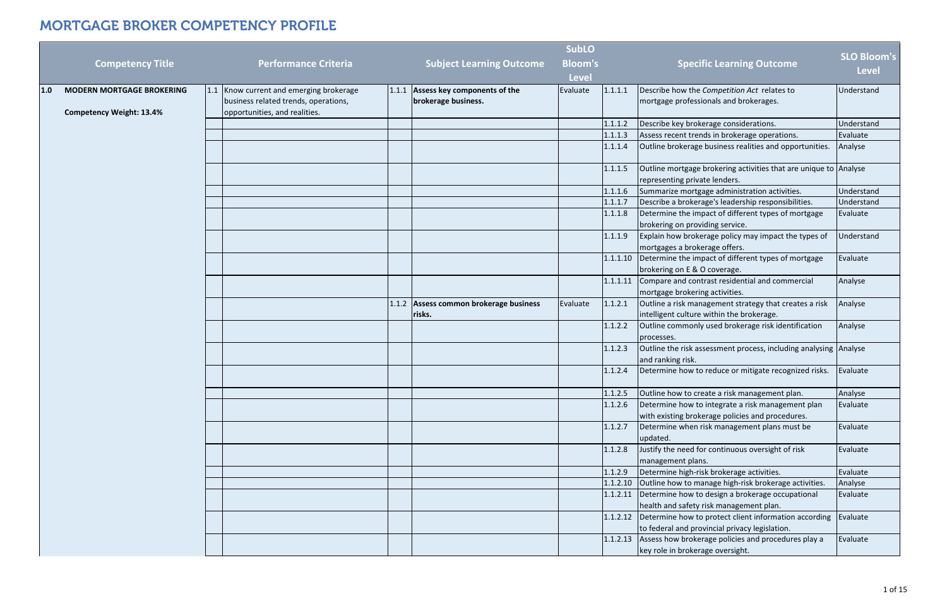|     |                                  |                                         |       |                                  | <b>SubLO</b>   |          |                                                                                                   |                                    |
|-----|----------------------------------|-----------------------------------------|-------|----------------------------------|----------------|----------|---------------------------------------------------------------------------------------------------|------------------------------------|
|     | <b>Competency Title</b>          | <b>Performance Criteria</b>             |       | <b>Subject Learning Outcome</b>  | <b>Bloom's</b> |          | <b>Specific Learning Outcome</b>                                                                  | <b>SLO Bloom's</b><br><b>Level</b> |
|     |                                  |                                         |       |                                  | <b>Level</b>   |          |                                                                                                   |                                    |
| 1.0 | <b>MODERN MORTGAGE BROKERING</b> | 1.1 Know current and emerging brokerage | 1.1.1 | Assess key components of the     | Evaluate       | 1.1.1.1  | Describe how the Competition Act relates to                                                       | Understand                         |
|     |                                  | business related trends, operations,    |       | brokerage business.              |                |          | mortgage professionals and brokerages.                                                            |                                    |
|     | <b>Competency Weight: 13.4%</b>  | opportunities, and realities.           |       |                                  |                |          |                                                                                                   |                                    |
|     |                                  |                                         |       |                                  |                | 1.1.1.2  | Describe key brokerage considerations.                                                            | Understand                         |
|     |                                  |                                         |       |                                  |                | 1.1.1.3  | Assess recent trends in brokerage operations.                                                     | Evaluate                           |
|     |                                  |                                         |       |                                  |                | 1.1.1.4  | Outline brokerage business realities and opportunities.                                           | Analyse                            |
|     |                                  |                                         |       |                                  |                | 1.1.1.5  | Outline mortgage brokering activities that are unique to Analyse<br>representing private lenders. |                                    |
|     |                                  |                                         |       |                                  |                | 1.1.1.6  | Summarize mortgage administration activities.                                                     | Understand                         |
|     |                                  |                                         |       |                                  |                | 1.1.1.7  | Describe a brokerage's leadership responsibilities.                                               | Understand                         |
|     |                                  |                                         |       |                                  |                | 1.1.1.8  | Determine the impact of different types of mortgage                                               | Evaluate                           |
|     |                                  |                                         |       |                                  |                |          | brokering on providing service.                                                                   |                                    |
|     |                                  |                                         |       |                                  |                | 1.1.1.9  | Explain how brokerage policy may impact the types of                                              | Understand                         |
|     |                                  |                                         |       |                                  |                |          | mortgages a brokerage offers.                                                                     |                                    |
|     |                                  |                                         |       |                                  |                | 1.1.1.10 | Determine the impact of different types of mortgage                                               | Evaluate                           |
|     |                                  |                                         |       |                                  |                |          | brokering on E & O coverage.                                                                      |                                    |
|     |                                  |                                         |       |                                  |                | 1.1.1.11 | Compare and contrast residential and commercial                                                   | Analyse                            |
|     |                                  |                                         |       |                                  |                |          | mortgage brokering activities.                                                                    |                                    |
|     |                                  |                                         | 1.1.2 | Assess common brokerage business | Evaluate       | 1.1.2.1  | Outline a risk management strategy that creates a risk                                            | Analyse                            |
|     |                                  |                                         |       | risks.                           |                |          | intelligent culture within the brokerage.                                                         |                                    |
|     |                                  |                                         |       |                                  |                | 1.1.2.2  | Outline commonly used brokerage risk identification                                               | Analyse                            |
|     |                                  |                                         |       |                                  |                |          | processes.                                                                                        |                                    |
|     |                                  |                                         |       |                                  |                | 1.1.2.3  | Outline the risk assessment process, including analysing Analyse                                  |                                    |
|     |                                  |                                         |       |                                  |                |          | and ranking risk.                                                                                 |                                    |
|     |                                  |                                         |       |                                  |                | 1.1.2.4  | Determine how to reduce or mitigate recognized risks.                                             | Evaluate                           |
|     |                                  |                                         |       |                                  |                |          | 1.1.2.5 Outline how to create a risk management plan.                                             | Analyse                            |
|     |                                  |                                         |       |                                  |                | 1.1.2.6  | Determine how to integrate a risk management plan                                                 | Evaluate                           |
|     |                                  |                                         |       |                                  |                |          | with existing brokerage policies and procedures.                                                  |                                    |
|     |                                  |                                         |       |                                  |                | 1.1.2.7  | Determine when risk management plans must be<br>updated.                                          | Evaluate                           |
|     |                                  |                                         |       |                                  |                | 1.1.2.8  | Justify the need for continuous oversight of risk                                                 | Evaluate                           |
|     |                                  |                                         |       |                                  |                |          | management plans.                                                                                 |                                    |
|     |                                  |                                         |       |                                  |                | 1.1.2.9  | Determine high-risk brokerage activities.                                                         | Evaluate                           |
|     |                                  |                                         |       |                                  |                | 1.1.2.10 | Outline how to manage high-risk brokerage activities.                                             | Analyse                            |
|     |                                  |                                         |       |                                  |                | 1.1.2.11 | Determine how to design a brokerage occupational                                                  | Evaluate                           |
|     |                                  |                                         |       |                                  |                |          | health and safety risk management plan.                                                           |                                    |
|     |                                  |                                         |       |                                  |                | 1.1.2.12 | Determine how to protect client information according                                             | Evaluate                           |
|     |                                  |                                         |       |                                  |                |          | to federal and provincial privacy legislation.                                                    |                                    |
|     |                                  |                                         |       |                                  |                | 1.1.2.13 | Assess how brokerage policies and procedures play a                                               | Evaluate                           |
|     |                                  |                                         |       |                                  |                |          | key role in brokerage oversight.                                                                  |                                    |
|     |                                  |                                         |       |                                  |                |          |                                                                                                   |                                    |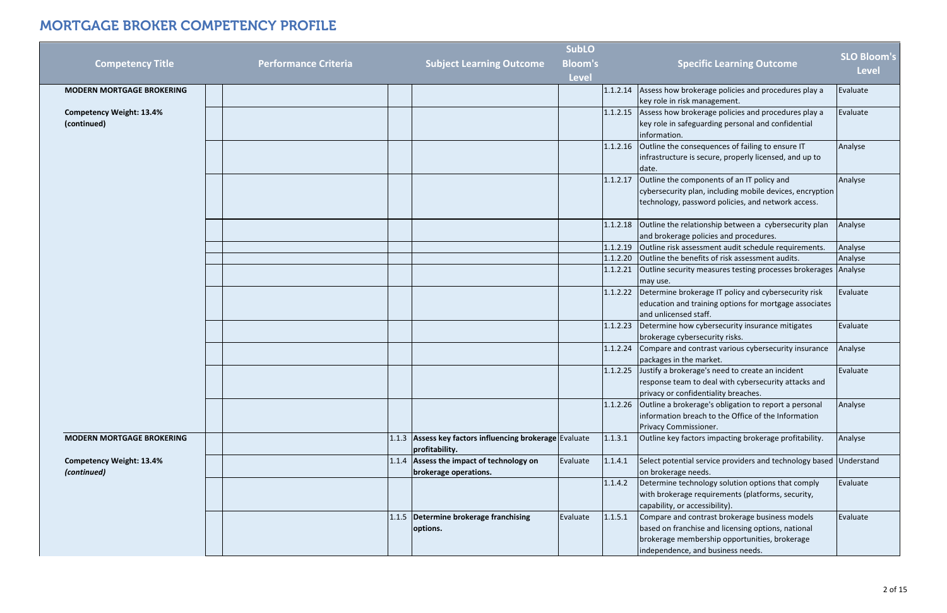|          | <b>Specific Learning Outcome</b>                                                                                                                                                           | <b>SLO Bloom's</b><br><b>Level</b> |
|----------|--------------------------------------------------------------------------------------------------------------------------------------------------------------------------------------------|------------------------------------|
| 1.1.2.14 | Assess how brokerage policies and procedures play a<br>key role in risk management.                                                                                                        | Evaluate                           |
| 1.1.2.15 | Assess how brokerage policies and procedures play a<br>key role in safeguarding personal and confidential<br>information.                                                                  | Evaluate                           |
| 1.1.2.16 | Outline the consequences of failing to ensure IT<br>infrastructure is secure, properly licensed, and up to<br>date.                                                                        | Analyse                            |
| 1.1.2.17 | Outline the components of an IT policy and<br>cybersecurity plan, including mobile devices, encryption<br>technology, password policies, and network access.                               | Analyse                            |
| 1.1.2.18 | Outline the relationship between a cybersecurity plan<br>and brokerage policies and procedures.                                                                                            | Analyse                            |
| 1.1.2.19 | Outline risk assessment audit schedule requirements.                                                                                                                                       | Analyse                            |
| 1.1.2.20 | Outline the benefits of risk assessment audits.                                                                                                                                            | Analyse                            |
| 1.1.2.21 | Outline security measures testing processes brokerages<br>may use.                                                                                                                         | Analyse                            |
| 1.1.2.22 | Determine brokerage IT policy and cybersecurity risk<br>education and training options for mortgage associates<br>and unlicensed staff.                                                    | Evaluate                           |
| 1.1.2.23 | Determine how cybersecurity insurance mitigates<br>brokerage cybersecurity risks.                                                                                                          | Evaluate                           |
| 1.1.2.24 | Compare and contrast various cybersecurity insurance<br>packages in the market.                                                                                                            | Analyse                            |
| 1.1.2.25 | Justify a brokerage's need to create an incident<br>response team to deal with cybersecurity attacks and<br>privacy or confidentiality breaches.                                           | Evaluate                           |
| 1.1.2.26 | Outline a brokerage's obligation to report a personal<br>information breach to the Office of the Information<br>Privacy Commissioner.                                                      | Analyse                            |
| 1.1.3.1  | Outline key factors impacting brokerage profitability.                                                                                                                                     | Analyse                            |
| 1.1.4.1  | Select potential service providers and technology based<br>on brokerage needs.                                                                                                             | Understand                         |
| 1.1.4.2  | Determine technology solution options that comply<br>with brokerage requirements (platforms, security,<br>capability, or accessibility).                                                   | Evaluate                           |
| 1.1.5.1  | Compare and contrast brokerage business models<br>based on franchise and licensing options, national<br>brokerage membership opportunities, brokerage<br>independence, and business needs. | Evaluate                           |
|          |                                                                                                                                                                                            |                                    |

|                                  |                             |                                                           | <b>SubLO</b>   |          |                                                                             |
|----------------------------------|-----------------------------|-----------------------------------------------------------|----------------|----------|-----------------------------------------------------------------------------|
| <b>Competency Title</b>          | <b>Performance Criteria</b> | <b>Subject Learning Outcome</b>                           | <b>Bloom's</b> |          | <b>Specific Learning Outcome</b>                                            |
|                                  |                             |                                                           | <b>Level</b>   |          |                                                                             |
| <b>MODERN MORTGAGE BROKERING</b> |                             |                                                           |                |          | 1.1.2.14 Assess how brokerage policies and procedures pla                   |
|                                  |                             |                                                           |                |          | key role in risk management.                                                |
| <b>Competency Weight: 13.4%</b>  |                             |                                                           |                |          | 1.1.2.15 Assess how brokerage policies and procedures pla                   |
| (continued)                      |                             |                                                           |                |          | key role in safeguarding personal and confidential                          |
|                                  |                             |                                                           |                |          | information.                                                                |
|                                  |                             |                                                           |                |          | 1.1.2.16 Outline the consequences of failing to ensure IT                   |
|                                  |                             |                                                           |                |          | infrastructure is secure, properly licensed, and up                         |
|                                  |                             |                                                           |                |          | date.                                                                       |
|                                  |                             |                                                           |                | 1.1.2.17 | Outline the components of an IT policy and                                  |
|                                  |                             |                                                           |                |          | cybersecurity plan, including mobile devices, encr                          |
|                                  |                             |                                                           |                |          | technology, password policies, and network acces                            |
|                                  |                             |                                                           |                |          | $1.1.2.18$ Outline the relationship between a cybersecurity                 |
|                                  |                             |                                                           |                |          | and brokerage policies and procedures.                                      |
|                                  |                             |                                                           |                | 1.1.2.19 | Outline risk assessment audit schedule requireme                            |
|                                  |                             |                                                           |                | 1.1.2.20 | Outline the benefits of risk assessment audits.                             |
|                                  |                             |                                                           |                | 1.1.2.21 | Outline security measures testing processes broke                           |
|                                  |                             |                                                           |                |          | may use.                                                                    |
|                                  |                             |                                                           |                |          | 1.1.2.22 Determine brokerage IT policy and cybersecurity r                  |
|                                  |                             |                                                           |                |          | education and training options for mortgage assor                           |
|                                  |                             |                                                           |                |          | and unlicensed staff.                                                       |
|                                  |                             |                                                           |                | 1.1.2.23 | Determine how cybersecurity insurance mitigates                             |
|                                  |                             |                                                           |                |          | brokerage cybersecurity risks.                                              |
|                                  |                             |                                                           |                | 1.1.2.24 | Compare and contrast various cybersecurity insur                            |
|                                  |                             |                                                           |                |          | packages in the market.                                                     |
|                                  |                             |                                                           |                | 1.1.2.25 | Justify a brokerage's need to create an incident                            |
|                                  |                             |                                                           |                |          | response team to deal with cybersecurity attacks                            |
|                                  |                             |                                                           |                |          | privacy or confidentiality breaches.                                        |
|                                  |                             |                                                           |                | 1.1.2.26 | Outline a brokerage's obligation to report a persor                         |
|                                  |                             |                                                           |                |          | information breach to the Office of the Informatic                          |
| <b>MODERN MORTGAGE BROKERING</b> |                             | $1.1.3$ Assess key factors influencing brokerage Evaluate |                | 1.1.3.1  | Privacy Commissioner.<br>Outline key factors impacting brokerage profitabil |
|                                  |                             | profitability.                                            |                |          |                                                                             |
| <b>Competency Weight: 13.4%</b>  |                             | 1.1.4 Assess the impact of technology on                  | Evaluate       | 1.1.4.1  | Select potential service providers and technology                           |
| (continued)                      |                             | brokerage operations.                                     |                |          | on brokerage needs.                                                         |
|                                  |                             |                                                           |                | 1.1.4.2  | Determine technology solution options that comp                             |
|                                  |                             |                                                           |                |          | with brokerage requirements (platforms, security,                           |
|                                  |                             |                                                           |                |          | capability, or accessibility).                                              |
|                                  |                             | 1.1.5 Determine brokerage franchising                     | Evaluate       | 1.1.5.1  | Compare and contrast brokerage business models                              |
|                                  |                             | options.                                                  |                |          | based on franchise and licensing options, national                          |
|                                  |                             |                                                           |                |          | brokerage membership opportunities, brokerage                               |
|                                  |                             |                                                           |                |          | independence, and business needs.                                           |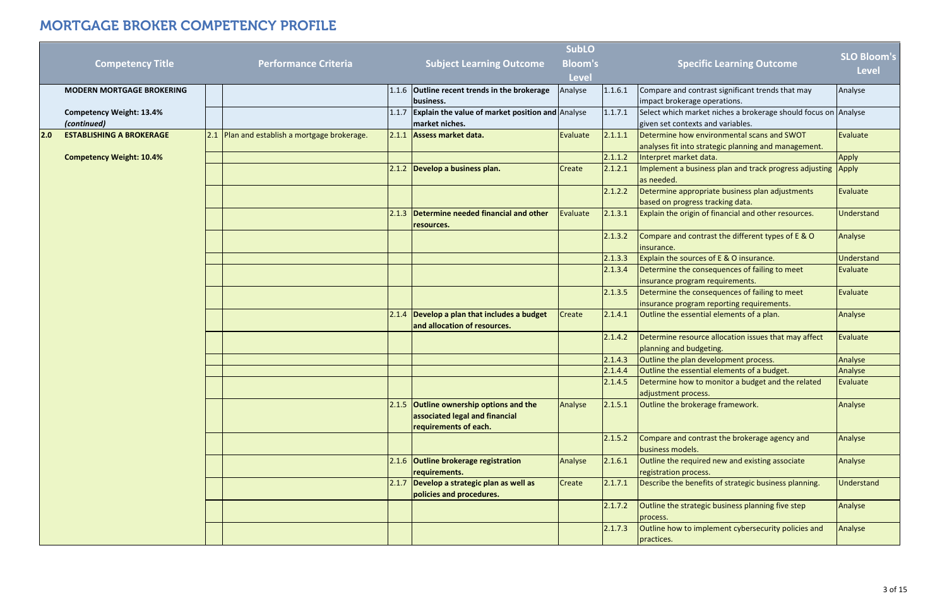|     | <b>Competency Title</b>                        | <b>Performance Criteria</b>                    |       | <b>Subject Learning Outcome</b>                                                                     | <b>SubLO</b><br><b>Bloom's</b> |         | <b>Specific Learning Outcome</b>                                                                    | <b>SLO Bloom's</b> |
|-----|------------------------------------------------|------------------------------------------------|-------|-----------------------------------------------------------------------------------------------------|--------------------------------|---------|-----------------------------------------------------------------------------------------------------|--------------------|
|     |                                                |                                                |       |                                                                                                     | <b>Level</b>                   |         |                                                                                                     | <b>Level</b>       |
|     | <b>MODERN MORTGAGE BROKERING</b>               |                                                |       | 1.1.6 Outline recent trends in the brokerage<br>business.                                           | Analyse                        | 1.1.6.1 | Compare and contrast significant trends that may<br>impact brokerage operations.                    | Analyse            |
|     | <b>Competency Weight: 13.4%</b><br>(continued) |                                                | 1.1.7 | <b>Explain the value of market position and Analyse</b><br>market niches.                           |                                | 1.1.7.1 | Select which market niches a brokerage should focus on Analyse<br>given set contexts and variables. |                    |
| 2.0 | <b>ESTABLISHING A BROKERAGE</b>                | $2.1$ Plan and establish a mortgage brokerage. | 2.1.1 | Assess market data.                                                                                 | Evaluate                       | 2.1.1.1 | Determine how environmental scans and SWOT<br>analyses fit into strategic planning and management.  | Evaluate           |
|     | <b>Competency Weight: 10.4%</b>                |                                                |       |                                                                                                     |                                | 2.1.1.2 | Interpret market data.                                                                              | Apply              |
|     |                                                |                                                | 2.1.2 | Develop a business plan.                                                                            | Create                         | 2.1.2.1 | Implement a business plan and track progress adjusting Apply<br>as needed.                          |                    |
|     |                                                |                                                |       |                                                                                                     |                                | 2.1.2.2 | Determine appropriate business plan adjustments<br>based on progress tracking data.                 | Evaluate           |
|     |                                                |                                                | 2.1.3 | Determine needed financial and other<br>resources.                                                  | Evaluate                       | 2.1.3.1 | Explain the origin of financial and other resources.                                                | Understand         |
|     |                                                |                                                |       |                                                                                                     |                                | 2.1.3.2 | Compare and contrast the different types of E & O<br>insurance.                                     | Analyse            |
|     |                                                |                                                |       |                                                                                                     |                                | 2.1.3.3 | Explain the sources of E & O insurance.                                                             | Understand         |
|     |                                                |                                                |       |                                                                                                     |                                | 2.1.3.4 | Determine the consequences of failing to meet<br>insurance program requirements.                    | Evaluate           |
|     |                                                |                                                |       |                                                                                                     |                                | 2.1.3.5 | Determine the consequences of failing to meet<br>insurance program reporting requirements.          | Evaluate           |
|     |                                                |                                                | 2.1.4 | Develop a plan that includes a budget<br>and allocation of resources.                               | Create                         | 2.1.4.1 | Outline the essential elements of a plan.                                                           | Analyse            |
|     |                                                |                                                |       |                                                                                                     |                                | 2.1.4.2 | Determine resource allocation issues that may affect<br>planning and budgeting.                     | Evaluate           |
|     |                                                |                                                |       |                                                                                                     |                                | 2.1.4.3 | Outline the plan development process.                                                               | Analyse            |
|     |                                                |                                                |       |                                                                                                     |                                | 2.1.4.4 | Outline the essential elements of a budget.                                                         | Analyse            |
|     |                                                |                                                |       |                                                                                                     |                                | 2.1.4.5 | Determine how to monitor a budget and the related<br>adjustment process.                            | Evaluate           |
|     |                                                |                                                | 2.1.5 | <b>Outline ownership options and the</b><br>associated legal and financial<br>requirements of each. | Analyse                        | 2.1.5.1 | Outline the brokerage framework.                                                                    | Analyse            |
|     |                                                |                                                |       |                                                                                                     |                                | 2.1.5.2 | Compare and contrast the brokerage agency and<br>business models.                                   | Analyse            |
|     |                                                |                                                |       | 2.1.6 Outline brokerage registration<br>requirements.                                               | Analyse                        | 2.1.6.1 | Outline the required new and existing associate<br>registration process.                            | Analyse            |
|     |                                                |                                                | 2.1.7 | Develop a strategic plan as well as<br>policies and procedures.                                     | Create                         | 2.1.7.1 | Describe the benefits of strategic business planning.                                               | Understand         |
|     |                                                |                                                |       |                                                                                                     |                                | 2.1.7.2 | Outline the strategic business planning five step<br>process.                                       | Analyse            |
|     |                                                |                                                |       |                                                                                                     |                                | 2.1.7.3 | Outline how to implement cybersecurity policies and<br>practices.                                   | Analyse            |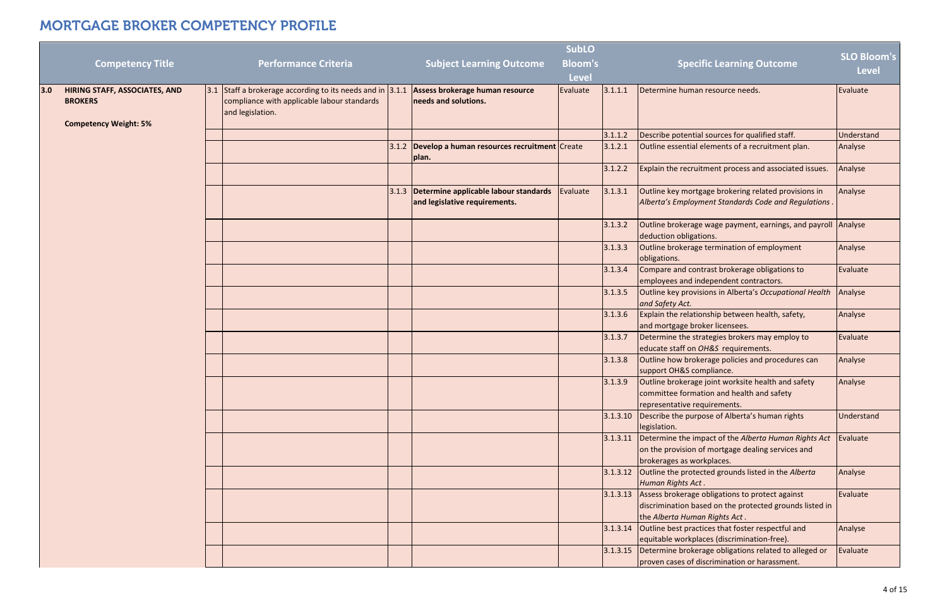| <b>Competency Title</b>                                                                | <b>Performance Criteria</b>                                                                                                    | <b>Subject Learning Outcome</b>                                              | <b>SubLO</b><br><b>Bloom's</b><br><b>Level</b> |          | <b>Specific Learning Outcome</b>                                                                                                                | <b>SLO Bloom's</b><br><b>Level</b> |
|----------------------------------------------------------------------------------------|--------------------------------------------------------------------------------------------------------------------------------|------------------------------------------------------------------------------|------------------------------------------------|----------|-------------------------------------------------------------------------------------------------------------------------------------------------|------------------------------------|
| HIRING STAFF, ASSOCIATES, AND<br>3.0<br><b>BROKERS</b><br><b>Competency Weight: 5%</b> | 3.1 Staff a brokerage according to its needs and in $3.1.1$<br>compliance with applicable labour standards<br>and legislation. | Assess brokerage human resource<br>needs and solutions.                      | Evaluate                                       | 3.1.1.1  | Determine human resource needs.                                                                                                                 | Evaluate                           |
|                                                                                        |                                                                                                                                |                                                                              |                                                | 3.1.1.2  | Describe potential sources for qualified staff.                                                                                                 | Understand                         |
|                                                                                        |                                                                                                                                | 3.1.2 <b>Develop a human resources recruitment</b> Create<br>plan.           |                                                | 3.1.2.1  | Outline essential elements of a recruitment plan.                                                                                               | Analyse                            |
|                                                                                        |                                                                                                                                |                                                                              |                                                | 3.1.2.2  | Explain the recruitment process and associated issues.                                                                                          | Analyse                            |
|                                                                                        |                                                                                                                                | 3.1.3 Determine applicable labour standards<br>and legislative requirements. | Evaluate                                       | 3.1.3.1  | Outline key mortgage brokering related provisions in<br>Alberta's Employment Standards Code and Regulations                                     | Analyse                            |
|                                                                                        |                                                                                                                                |                                                                              |                                                | 3.1.3.2  | Outline brokerage wage payment, earnings, and payroll<br>deduction obligations.                                                                 | Analyse                            |
|                                                                                        |                                                                                                                                |                                                                              |                                                | 3.1.3.3  | Outline brokerage termination of employment<br>obligations.                                                                                     | Analyse                            |
|                                                                                        |                                                                                                                                |                                                                              |                                                | 3.1.3.4  | Compare and contrast brokerage obligations to<br>employees and independent contractors.                                                         | Evaluate                           |
|                                                                                        |                                                                                                                                |                                                                              |                                                | 3.1.3.5  | Outline key provisions in Alberta's Occupational Health<br>and Safety Act.                                                                      | Analyse                            |
|                                                                                        |                                                                                                                                |                                                                              |                                                | 3.1.3.6  | Explain the relationship between health, safety,<br>and mortgage broker licensees.                                                              | Analyse                            |
|                                                                                        |                                                                                                                                |                                                                              |                                                | 3.1.3.7  | Determine the strategies brokers may employ to<br>educate staff on OH&S requirements.                                                           | Evaluate                           |
|                                                                                        |                                                                                                                                |                                                                              |                                                | 3.1.3.8  | Outline how brokerage policies and procedures can<br>support OH&S compliance.                                                                   | Analyse                            |
|                                                                                        |                                                                                                                                |                                                                              |                                                | 3.1.3.9  | Outline brokerage joint worksite health and safety<br>committee formation and health and safety<br>representative requirements.                 | Analyse                            |
|                                                                                        |                                                                                                                                |                                                                              |                                                |          | 3.1.3.10 Describe the purpose of Alberta's human rights<br>legislation.                                                                         | Understand                         |
|                                                                                        |                                                                                                                                |                                                                              |                                                |          | 3.1.3.11 Determine the impact of the Alberta Human Rights Act<br>on the provision of mortgage dealing services and<br>brokerages as workplaces. | Evaluate                           |
|                                                                                        |                                                                                                                                |                                                                              |                                                |          | 3.1.3.12 Outline the protected grounds listed in the Alberta<br>Human Rights Act.                                                               | Analyse                            |
|                                                                                        |                                                                                                                                |                                                                              |                                                | 3.1.3.13 | Assess brokerage obligations to protect against<br>discrimination based on the protected grounds listed in<br>the Alberta Human Rights Act.     | Evaluate                           |
|                                                                                        |                                                                                                                                |                                                                              |                                                |          | 3.1.3.14 Outline best practices that foster respectful and<br>equitable workplaces (discrimination-free).                                       | Analyse                            |
|                                                                                        |                                                                                                                                |                                                                              |                                                | 3.1.3.15 | Determine brokerage obligations related to alleged or<br>proven cases of discrimination or harassment.                                          | Evaluate                           |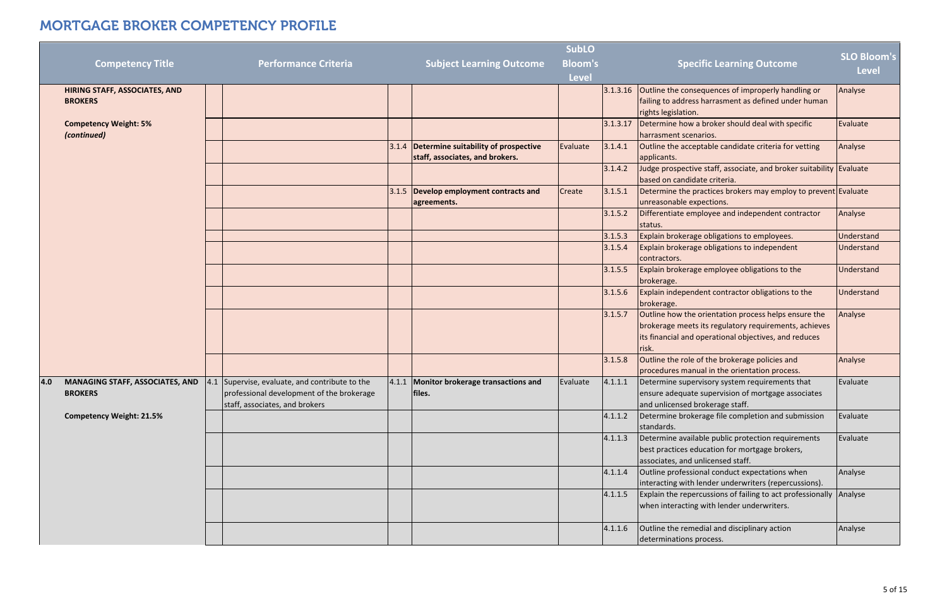|          | <b>Specific Learning Outcome</b>                                                                                                                                                | <b>SLO Bloom's</b><br><b>Level</b> |
|----------|---------------------------------------------------------------------------------------------------------------------------------------------------------------------------------|------------------------------------|
| 3.1.3.16 | Outline the consequences of improperly handling or<br>failing to address harrasment as defined under human<br>rights legislation.                                               | Analyse                            |
| 3.1.3.17 | Determine how a broker should deal with specific<br>harrasment scenarios.                                                                                                       | Evaluate                           |
| 3.1.4.1  | Outline the acceptable candidate criteria for vetting<br>applicants.                                                                                                            | Analyse                            |
| 3.1.4.2  | Judge prospective staff, associate, and broker suitability<br>based on candidate criteria.                                                                                      | Evaluate                           |
| 3.1.5.1  | Determine the practices brokers may employ to prevent<br>unreasonable expections.                                                                                               | Evaluate                           |
| 3.1.5.2  | Differentiate employee and independent contractor<br>status.                                                                                                                    | Analyse                            |
| 3.1.5.3  | Explain brokerage obligations to employees.                                                                                                                                     | Understand                         |
| 3.1.5.4  | Explain brokerage obligations to independent<br>contractors.                                                                                                                    | Understand                         |
| 3.1.5.5  | Explain brokerage employee obligations to the<br>brokerage.                                                                                                                     | Understand                         |
| 3.1.5.6  | Explain independent contractor obligations to the<br>brokerage.                                                                                                                 | Understand                         |
| 3.1.5.7  | Outline how the orientation process helps ensure the<br>brokerage meets its regulatory requirements, achieves<br>its financial and operational objectives, and reduces<br>risk. | Analyse                            |
| 3.1.5.8  | Outline the role of the brokerage policies and<br>procedures manual in the orientation process.                                                                                 | Analyse                            |
| 4.1.1.1  | Determine supervisory system requirements that<br>ensure adequate supervision of mortgage associates<br>and unlicensed brokerage staff.                                         | Evaluate                           |
| 4.1.1.2  | Determine brokerage file completion and submission<br>standards.                                                                                                                | Evaluate                           |
| 4.1.1.3  | Determine available public protection requirements<br>best practices education for mortgage brokers,<br>associates, and unlicensed staff.                                       | Evaluate                           |
| 4.1.1.4  | Outline professional conduct expectations when<br>interacting with lender underwriters (repercussions).                                                                         | Analyse                            |
| 4.1.1.5  | Explain the repercussions of failing to act professionally<br>when interacting with lender underwriters.                                                                        | Analyse                            |
| 4.1.1.6  | Outline the remedial and disciplinary action<br>determinations process.                                                                                                         | Analyse                            |

|     |                                        |                                                  |       |                                          | <b>SubLO</b>   |         |                                                          |
|-----|----------------------------------------|--------------------------------------------------|-------|------------------------------------------|----------------|---------|----------------------------------------------------------|
|     | <b>Competency Title</b>                | <b>Performance Criteria</b>                      |       | <b>Subject Learning Outcome</b>          | <b>Bloom's</b> |         | <b>Specific Learning</b>                                 |
|     |                                        |                                                  |       |                                          | <b>Level</b>   |         |                                                          |
|     | HIRING STAFF, ASSOCIATES, AND          |                                                  |       |                                          |                |         | 3.1.3.16 Outline the consequences of im                  |
|     | <b>BROKERS</b>                         |                                                  |       |                                          |                |         | failing to address harrasment as                         |
|     |                                        |                                                  |       |                                          |                |         | rights legislation.                                      |
|     | <b>Competency Weight: 5%</b>           |                                                  |       |                                          |                |         | 3.1.3.17 Determine how a broker should                   |
|     | (continued)                            |                                                  | 3.1.4 | Determine suitability of prospective     | Evaluate       | 3.1.4.1 | harrasment scenarios.<br>Outline the acceptable candidat |
|     |                                        |                                                  |       | staff, associates, and brokers.          |                |         | applicants.                                              |
|     |                                        |                                                  |       |                                          |                | 3.1.4.2 | Judge prospective staff, association                     |
|     |                                        |                                                  |       |                                          |                |         | based on candidate criteria.                             |
|     |                                        |                                                  |       | 3.1.5 Develop employment contracts and   | Create         | 3.1.5.1 | Determine the practices brokers                          |
|     |                                        |                                                  |       | agreements.                              |                |         | unreasonable expections.                                 |
|     |                                        |                                                  |       |                                          |                | 3.1.5.2 | Differentiate employee and inde                          |
|     |                                        |                                                  |       |                                          |                |         | status.                                                  |
|     |                                        |                                                  |       |                                          |                | 3.1.5.3 | Explain brokerage obligations to                         |
|     |                                        |                                                  |       |                                          |                | 3.1.5.4 | Explain brokerage obligations to                         |
|     |                                        |                                                  |       |                                          |                |         | contractors.                                             |
|     |                                        |                                                  |       |                                          |                | 3.1.5.5 | Explain brokerage employee ob                            |
|     |                                        |                                                  |       |                                          |                |         | brokerage.                                               |
|     |                                        |                                                  |       |                                          |                | 3.1.5.6 | Explain independent contractor                           |
|     |                                        |                                                  |       |                                          |                |         | brokerage.                                               |
|     |                                        |                                                  |       |                                          |                | 3.1.5.7 | Outline how the orientation pro                          |
|     |                                        |                                                  |       |                                          |                |         | brokerage meets its regulatory                           |
|     |                                        |                                                  |       |                                          |                |         | its financial and operational obj                        |
|     |                                        |                                                  |       |                                          |                | 3.1.5.8 | risk.<br>Outline the role of the brokerag                |
|     |                                        |                                                  |       |                                          |                |         | procedures manual in the orien                           |
| 4.0 | <b>MANAGING STAFF, ASSOCIATES, AND</b> | $4.1$ Supervise, evaluate, and contribute to the |       | 4.1.1 Monitor brokerage transactions and | Evaluate       | 4.1.1.1 | Determine supervisory system r                           |
|     | <b>BROKERS</b>                         | professional development of the brokerage        |       | files.                                   |                |         | ensure adequate supervision of                           |
|     |                                        | staff, associates, and brokers                   |       |                                          |                |         | and unlicensed brokerage staff.                          |
|     | <b>Competency Weight: 21.5%</b>        |                                                  |       |                                          |                | 4.1.1.2 | Determine brokerage file compl                           |
|     |                                        |                                                  |       |                                          |                |         | standards.                                               |
|     |                                        |                                                  |       |                                          |                | 4.1.1.3 | Determine available public prot                          |
|     |                                        |                                                  |       |                                          |                |         | best practices education for mo                          |
|     |                                        |                                                  |       |                                          |                |         | associates, and unlicensed staff                         |
|     |                                        |                                                  |       |                                          |                | 4.1.1.4 | Outline professional conduct ex                          |
|     |                                        |                                                  |       |                                          |                |         | interacting with lender underwr                          |
|     |                                        |                                                  |       |                                          |                | 4.1.1.5 | Explain the repercussions of fail                        |
|     |                                        |                                                  |       |                                          |                |         | when interacting with lender ur                          |
|     |                                        |                                                  |       |                                          |                | 4.1.1.6 | Outline the remedial and discipl                         |
|     |                                        |                                                  |       |                                          |                |         | determinations process.                                  |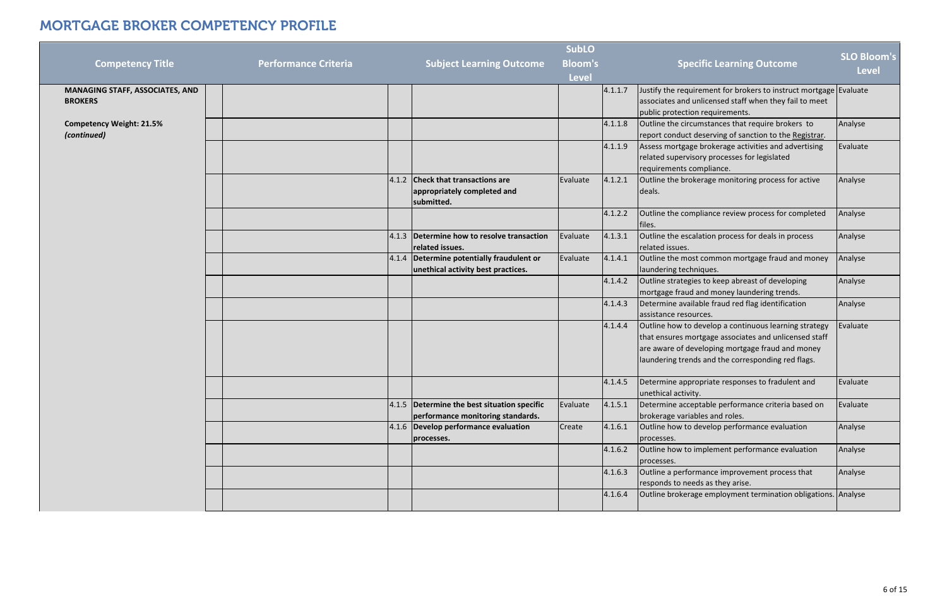|                                        |                             |                                                                  | <b>SubLO</b>   |         |                                                                   |
|----------------------------------------|-----------------------------|------------------------------------------------------------------|----------------|---------|-------------------------------------------------------------------|
| <b>Competency Title</b>                | <b>Performance Criteria</b> | <b>Subject Learning Outcome</b>                                  | <b>Bloom's</b> |         | <b>Specific Learning</b>                                          |
|                                        |                             |                                                                  | <b>Level</b>   |         |                                                                   |
| <b>MANAGING STAFF, ASSOCIATES, AND</b> |                             |                                                                  |                | 4.1.1.7 | Justify the requirement for brok                                  |
| <b>BROKERS</b>                         |                             |                                                                  |                |         | associates and unlicensed staff                                   |
|                                        |                             |                                                                  |                |         | public protection requirements.                                   |
| <b>Competency Weight: 21.5%</b>        |                             |                                                                  |                | 4.1.1.8 | Outline the circumstances that                                    |
| (continued)                            |                             |                                                                  |                |         | report conduct deserving of san                                   |
|                                        |                             |                                                                  |                | 4.1.1.9 | Assess mortgage brokerage acti                                    |
|                                        |                             |                                                                  |                |         | related supervisory processes fo                                  |
|                                        |                             |                                                                  |                |         | requirements compliance.                                          |
|                                        |                             | 4.1.2 Check that transactions are<br>appropriately completed and | Evaluate       | 4.1.2.1 | Outline the brokerage monitori<br>deals.                          |
|                                        |                             | submitted.                                                       |                |         |                                                                   |
|                                        |                             |                                                                  |                | 4.1.2.2 | Outline the compliance review p                                   |
|                                        |                             |                                                                  |                |         | files.                                                            |
|                                        |                             | 4.1.3 Determine how to resolve transaction                       | Evaluate       | 4.1.3.1 | Outline the escalation process f                                  |
|                                        |                             | related issues.                                                  |                |         | related issues.                                                   |
|                                        |                             | 4.1.4 Determine potentially fraudulent or                        | Evaluate       | 4.1.4.1 | Outline the most common mort                                      |
|                                        |                             | unethical activity best practices.                               |                |         | laundering techniques.                                            |
|                                        |                             |                                                                  |                | 4.1.4.2 | Outline strategies to keep abrea                                  |
|                                        |                             |                                                                  |                |         | mortgage fraud and money laur                                     |
|                                        |                             |                                                                  |                | 4.1.4.3 | Determine available fraud red fl                                  |
|                                        |                             |                                                                  |                |         | assistance resources.                                             |
|                                        |                             |                                                                  |                | 4.1.4.4 | Outline how to develop a contin                                   |
|                                        |                             |                                                                  |                |         | that ensures mortgage associate<br>are aware of developing mortga |
|                                        |                             |                                                                  |                |         | laundering trends and the corre                                   |
|                                        |                             |                                                                  |                |         |                                                                   |
|                                        |                             |                                                                  |                | 4.1.4.5 | Determine appropriate respons                                     |
|                                        |                             |                                                                  |                |         | unethical activity.                                               |
|                                        |                             | 4.1.5 Determine the best situation specific                      | Evaluate       | 4.1.5.1 | Determine acceptable performa                                     |
|                                        |                             | performance monitoring standards.                                |                |         | brokerage variables and roles.                                    |
|                                        |                             | 4.1.6 Develop performance evaluation                             | Create         | 4.1.6.1 | Outline how to develop perform                                    |
|                                        |                             | processes.                                                       |                |         | processes.                                                        |
|                                        |                             |                                                                  |                | 4.1.6.2 | Outline how to implement perfo                                    |
|                                        |                             |                                                                  |                |         | processes.                                                        |
|                                        |                             |                                                                  |                | 4.1.6.3 | Outline a performance improve                                     |
|                                        |                             |                                                                  |                |         | responds to needs as they arise.                                  |
|                                        |                             |                                                                  |                | 4.1.6.4 | Outline brokerage employment                                      |
|                                        |                             |                                                                  |                |         |                                                                   |

|         | <b>Specific Learning Outcome</b>                                                                                                                                                                                         | <b>SLO Bloom's</b><br><b>Level</b> |
|---------|--------------------------------------------------------------------------------------------------------------------------------------------------------------------------------------------------------------------------|------------------------------------|
| 4.1.1.7 | Justify the requirement for brokers to instruct mortgage<br>associates and unlicensed staff when they fail to meet<br>public protection requirements.                                                                    | Evaluate                           |
| 4.1.1.8 | Outline the circumstances that require brokers to<br>report conduct deserving of sanction to the Registrar.                                                                                                              | Analyse                            |
| 4.1.1.9 | Assess mortgage brokerage activities and advertising<br>related supervisory processes for legislated<br>requirements compliance.                                                                                         | Evaluate                           |
| 4.1.2.1 | Outline the brokerage monitoring process for active<br>deals.                                                                                                                                                            | Analyse                            |
| 4.1.2.2 | Outline the compliance review process for completed<br>files.                                                                                                                                                            | Analyse                            |
| 4.1.3.1 | Outline the escalation process for deals in process<br>related issues.                                                                                                                                                   | Analyse                            |
| 4.1.4.1 | Outline the most common mortgage fraud and money<br>laundering techniques.                                                                                                                                               | Analyse                            |
| 4.1.4.2 | Outline strategies to keep abreast of developing<br>mortgage fraud and money laundering trends.                                                                                                                          | Analyse                            |
| 4.1.4.3 | Determine available fraud red flag identification<br>assistance resources.                                                                                                                                               | Analyse                            |
| 4.1.4.4 | Outline how to develop a continuous learning strategy<br>that ensures mortgage associates and unlicensed staff<br>are aware of developing mortgage fraud and money<br>laundering trends and the corresponding red flags. | Evaluate                           |
| 4.1.4.5 | Determine appropriate responses to fradulent and<br>unethical activity.                                                                                                                                                  | Evaluate                           |
| 4.1.5.1 | Determine acceptable performance criteria based on<br>brokerage variables and roles.                                                                                                                                     | Evaluate                           |
| 4.1.6.1 | Outline how to develop performance evaluation<br>processes.                                                                                                                                                              | Analyse                            |
| 4.1.6.2 | Outline how to implement performance evaluation<br>processes.                                                                                                                                                            | Analyse                            |
| 4.1.6.3 | Outline a performance improvement process that<br>responds to needs as they arise.                                                                                                                                       | Analyse                            |
| 4.1.6.4 | Outline brokerage employment termination obligations.                                                                                                                                                                    | Analyse                            |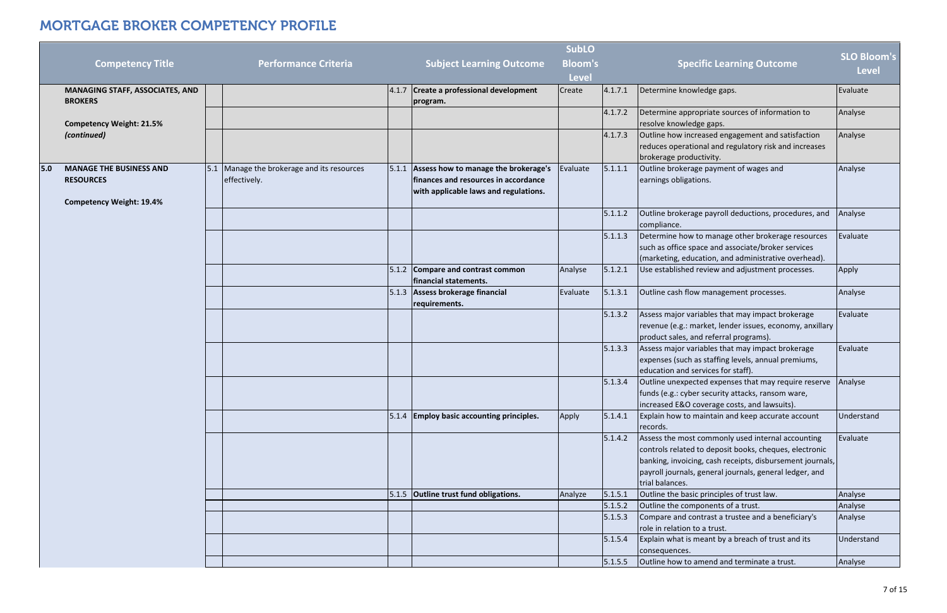|     | <b>Competency Title</b>                                                               | <b>Performance Criteria</b>                                |       | <b>Subject Learning Outcome</b>                                                                                       | <b>SubLO</b><br><b>Bloom's</b><br><b>Level</b> |         | <b>Specific Learning Outcome</b>                                                                                                                                                                                                                       | <b>SLO Bloom's</b><br><b>Level</b> |
|-----|---------------------------------------------------------------------------------------|------------------------------------------------------------|-------|-----------------------------------------------------------------------------------------------------------------------|------------------------------------------------|---------|--------------------------------------------------------------------------------------------------------------------------------------------------------------------------------------------------------------------------------------------------------|------------------------------------|
|     | <b>MANAGING STAFF, ASSOCIATES, AND</b><br><b>BROKERS</b>                              |                                                            | 4.1.7 | Create a professional development<br>program.                                                                         | Create                                         | 4.1.7.1 | Determine knowledge gaps.                                                                                                                                                                                                                              | Evaluate                           |
|     | <b>Competency Weight: 21.5%</b>                                                       |                                                            |       |                                                                                                                       |                                                | 4.1.7.2 | Determine appropriate sources of information to<br>resolve knowledge gaps.                                                                                                                                                                             | Analyse                            |
|     | (continued)                                                                           |                                                            |       |                                                                                                                       |                                                | 4.1.7.3 | Outline how increased engagement and satisfaction<br>reduces operational and regulatory risk and increases<br>brokerage productivity.                                                                                                                  | Analyse                            |
| 5.0 | <b>MANAGE THE BUSINESS AND</b><br><b>RESOURCES</b><br><b>Competency Weight: 19.4%</b> | 5.1 Manage the brokerage and its resources<br>effectively. | 5.1.1 | Assess how to manage the brokerage's<br>finances and resources in accordance<br>with applicable laws and regulations. | Evaluate                                       | 5.1.1.1 | Outline brokerage payment of wages and<br>earnings obligations.                                                                                                                                                                                        | Analyse                            |
|     |                                                                                       |                                                            |       |                                                                                                                       |                                                | 5.1.1.2 | Outline brokerage payroll deductions, procedures, and<br>compliance.                                                                                                                                                                                   | Analyse                            |
|     |                                                                                       |                                                            |       |                                                                                                                       |                                                | 5.1.1.3 | Determine how to manage other brokerage resources<br>such as office space and associate/broker services<br>(marketing, education, and administrative overhead).                                                                                        | Evaluate                           |
|     |                                                                                       |                                                            | 5.1.2 | Compare and contrast common<br>financial statements.                                                                  | Analyse                                        | 5.1.2.1 | Use established review and adjustment processes.                                                                                                                                                                                                       | Apply                              |
|     |                                                                                       |                                                            | 5.1.3 | Assess brokerage financial<br>requirements.                                                                           | Evaluate                                       | 5.1.3.1 | Outline cash flow management processes.                                                                                                                                                                                                                | Analyse                            |
|     |                                                                                       |                                                            |       |                                                                                                                       |                                                | 5.1.3.2 | Assess major variables that may impact brokerage<br>revenue (e.g.: market, lender issues, economy, anxillary<br>product sales, and referral programs).                                                                                                 | Evaluate                           |
|     |                                                                                       |                                                            |       |                                                                                                                       |                                                | 5.1.3.3 | Assess major variables that may impact brokerage<br>expenses (such as staffing levels, annual premiums,<br>education and services for staff).                                                                                                          | Evaluate                           |
|     |                                                                                       |                                                            |       |                                                                                                                       |                                                | 5.1.3.4 | Outline unexpected expenses that may require reserve<br>funds (e.g.: cyber security attacks, ransom ware,<br>increased E&O coverage costs, and lawsuits).                                                                                              | Analyse                            |
|     |                                                                                       |                                                            |       | 5.1.4 Employ basic accounting principles.                                                                             | Apply                                          | 5.1.4.1 | Explain how to maintain and keep accurate account<br>records.                                                                                                                                                                                          | Understand                         |
|     |                                                                                       |                                                            |       |                                                                                                                       |                                                | 5.1.4.2 | Assess the most commonly used internal accounting<br>controls related to deposit books, cheques, electronic<br>banking, invoicing, cash receipts, disbursement journals,<br>payroll journals, general journals, general ledger, and<br>trial balances. | Evaluate                           |
|     |                                                                                       |                                                            |       | 5.1.5 Outline trust fund obligations.                                                                                 | Analyze                                        | 5.1.5.1 | Outline the basic principles of trust law.                                                                                                                                                                                                             | Analyse                            |
|     |                                                                                       |                                                            |       |                                                                                                                       |                                                | 5.1.5.2 | Outline the components of a trust.                                                                                                                                                                                                                     | Analyse                            |
|     |                                                                                       |                                                            |       |                                                                                                                       |                                                | 5.1.5.3 | Compare and contrast a trustee and a beneficiary's<br>role in relation to a trust.                                                                                                                                                                     | Analyse                            |
|     |                                                                                       |                                                            |       |                                                                                                                       |                                                | 5.1.5.4 | Explain what is meant by a breach of trust and its<br>consequences.                                                                                                                                                                                    | Understand                         |
|     |                                                                                       |                                                            |       |                                                                                                                       |                                                | 5.1.5.5 | Outline how to amend and terminate a trust.                                                                                                                                                                                                            | Analyse                            |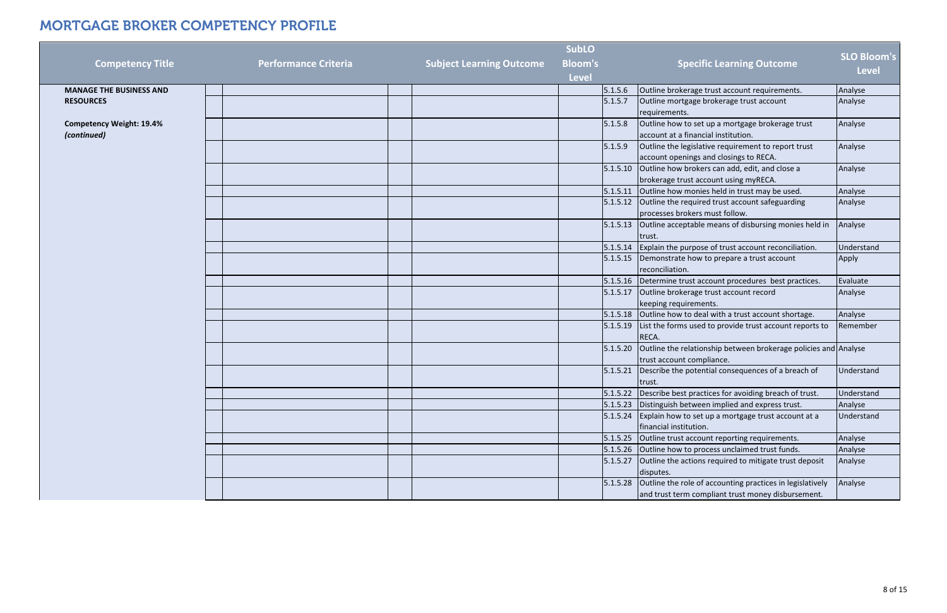| <b>Subject Learning Outcome</b><br><b>Bloom's</b><br><b>Specific Learnir</b><br><b>Competency Title</b><br><b>Performance Criteria</b><br><b>Level</b><br>Outline brokerage trust accour<br>5.1.5.6<br><b>MANAGE THE BUSINESS AND</b><br>Outline mortgage brokerage tr<br>5.1.5.7<br><b>RESOURCES</b><br>requirements.<br>5.1.5.8<br>Outline how to set up a mortga<br><b>Competency Weight: 19.4%</b><br>account at a financial institutio<br>(continued)<br>5.1.5.9<br>Outline the legislative requiren<br>account openings and closings<br>5.1.5.10 Outline how brokers can add, 6<br>brokerage trust account using<br>5.1.5.11 Outline how monies held in tru<br>5.1.5.12 Outline the required trust acco<br>processes brokers must follow.<br>5.1.5.13 Outline acceptable means of di<br>trust.<br>5.1.5.14 Explain the purpose of trust ac<br>5.1.5.15 Demonstrate how to prepare a<br>reconciliation.<br>5.1.5.16  Determine trust account proce<br>5.1.5.17 Outline brokerage trust accour<br>keeping requirements.<br>5.1.5.18 Outline how to deal with a trus<br>List the forms used to provide<br>5.1.5.19<br>RECA.<br>Outline the relationship betwe<br>5.1.5.20<br>trust account compliance.<br>5.1.5.21 Describe the potential conseque<br>trust.<br>5.1.5.22 Describe best practices for avo<br>5.1.5.23<br>Distinguish between implied are<br>5.1.5.24 Explain how to set up a mortga<br>financial institution.<br>Outline trust account reporting<br>5.1.5.25<br>5.1.5.26 Outline how to process unclain<br>Outline the actions required to<br>5.1.5.27<br>disputes.<br>Outline the role of accounting<br>5.1.5.28<br>and trust term compliant trust |  | <b>SubLO</b> |  |
|-----------------------------------------------------------------------------------------------------------------------------------------------------------------------------------------------------------------------------------------------------------------------------------------------------------------------------------------------------------------------------------------------------------------------------------------------------------------------------------------------------------------------------------------------------------------------------------------------------------------------------------------------------------------------------------------------------------------------------------------------------------------------------------------------------------------------------------------------------------------------------------------------------------------------------------------------------------------------------------------------------------------------------------------------------------------------------------------------------------------------------------------------------------------------------------------------------------------------------------------------------------------------------------------------------------------------------------------------------------------------------------------------------------------------------------------------------------------------------------------------------------------------------------------------------------------------------------------------------------------------------------------------------------------------|--|--------------|--|
|                                                                                                                                                                                                                                                                                                                                                                                                                                                                                                                                                                                                                                                                                                                                                                                                                                                                                                                                                                                                                                                                                                                                                                                                                                                                                                                                                                                                                                                                                                                                                                                                                                                                       |  |              |  |
|                                                                                                                                                                                                                                                                                                                                                                                                                                                                                                                                                                                                                                                                                                                                                                                                                                                                                                                                                                                                                                                                                                                                                                                                                                                                                                                                                                                                                                                                                                                                                                                                                                                                       |  |              |  |
|                                                                                                                                                                                                                                                                                                                                                                                                                                                                                                                                                                                                                                                                                                                                                                                                                                                                                                                                                                                                                                                                                                                                                                                                                                                                                                                                                                                                                                                                                                                                                                                                                                                                       |  |              |  |
|                                                                                                                                                                                                                                                                                                                                                                                                                                                                                                                                                                                                                                                                                                                                                                                                                                                                                                                                                                                                                                                                                                                                                                                                                                                                                                                                                                                                                                                                                                                                                                                                                                                                       |  |              |  |
|                                                                                                                                                                                                                                                                                                                                                                                                                                                                                                                                                                                                                                                                                                                                                                                                                                                                                                                                                                                                                                                                                                                                                                                                                                                                                                                                                                                                                                                                                                                                                                                                                                                                       |  |              |  |
|                                                                                                                                                                                                                                                                                                                                                                                                                                                                                                                                                                                                                                                                                                                                                                                                                                                                                                                                                                                                                                                                                                                                                                                                                                                                                                                                                                                                                                                                                                                                                                                                                                                                       |  |              |  |
|                                                                                                                                                                                                                                                                                                                                                                                                                                                                                                                                                                                                                                                                                                                                                                                                                                                                                                                                                                                                                                                                                                                                                                                                                                                                                                                                                                                                                                                                                                                                                                                                                                                                       |  |              |  |
|                                                                                                                                                                                                                                                                                                                                                                                                                                                                                                                                                                                                                                                                                                                                                                                                                                                                                                                                                                                                                                                                                                                                                                                                                                                                                                                                                                                                                                                                                                                                                                                                                                                                       |  |              |  |
|                                                                                                                                                                                                                                                                                                                                                                                                                                                                                                                                                                                                                                                                                                                                                                                                                                                                                                                                                                                                                                                                                                                                                                                                                                                                                                                                                                                                                                                                                                                                                                                                                                                                       |  |              |  |
|                                                                                                                                                                                                                                                                                                                                                                                                                                                                                                                                                                                                                                                                                                                                                                                                                                                                                                                                                                                                                                                                                                                                                                                                                                                                                                                                                                                                                                                                                                                                                                                                                                                                       |  |              |  |
|                                                                                                                                                                                                                                                                                                                                                                                                                                                                                                                                                                                                                                                                                                                                                                                                                                                                                                                                                                                                                                                                                                                                                                                                                                                                                                                                                                                                                                                                                                                                                                                                                                                                       |  |              |  |
|                                                                                                                                                                                                                                                                                                                                                                                                                                                                                                                                                                                                                                                                                                                                                                                                                                                                                                                                                                                                                                                                                                                                                                                                                                                                                                                                                                                                                                                                                                                                                                                                                                                                       |  |              |  |
|                                                                                                                                                                                                                                                                                                                                                                                                                                                                                                                                                                                                                                                                                                                                                                                                                                                                                                                                                                                                                                                                                                                                                                                                                                                                                                                                                                                                                                                                                                                                                                                                                                                                       |  |              |  |
|                                                                                                                                                                                                                                                                                                                                                                                                                                                                                                                                                                                                                                                                                                                                                                                                                                                                                                                                                                                                                                                                                                                                                                                                                                                                                                                                                                                                                                                                                                                                                                                                                                                                       |  |              |  |
|                                                                                                                                                                                                                                                                                                                                                                                                                                                                                                                                                                                                                                                                                                                                                                                                                                                                                                                                                                                                                                                                                                                                                                                                                                                                                                                                                                                                                                                                                                                                                                                                                                                                       |  |              |  |
|                                                                                                                                                                                                                                                                                                                                                                                                                                                                                                                                                                                                                                                                                                                                                                                                                                                                                                                                                                                                                                                                                                                                                                                                                                                                                                                                                                                                                                                                                                                                                                                                                                                                       |  |              |  |
|                                                                                                                                                                                                                                                                                                                                                                                                                                                                                                                                                                                                                                                                                                                                                                                                                                                                                                                                                                                                                                                                                                                                                                                                                                                                                                                                                                                                                                                                                                                                                                                                                                                                       |  |              |  |
|                                                                                                                                                                                                                                                                                                                                                                                                                                                                                                                                                                                                                                                                                                                                                                                                                                                                                                                                                                                                                                                                                                                                                                                                                                                                                                                                                                                                                                                                                                                                                                                                                                                                       |  |              |  |
|                                                                                                                                                                                                                                                                                                                                                                                                                                                                                                                                                                                                                                                                                                                                                                                                                                                                                                                                                                                                                                                                                                                                                                                                                                                                                                                                                                                                                                                                                                                                                                                                                                                                       |  |              |  |
|                                                                                                                                                                                                                                                                                                                                                                                                                                                                                                                                                                                                                                                                                                                                                                                                                                                                                                                                                                                                                                                                                                                                                                                                                                                                                                                                                                                                                                                                                                                                                                                                                                                                       |  |              |  |
|                                                                                                                                                                                                                                                                                                                                                                                                                                                                                                                                                                                                                                                                                                                                                                                                                                                                                                                                                                                                                                                                                                                                                                                                                                                                                                                                                                                                                                                                                                                                                                                                                                                                       |  |              |  |
|                                                                                                                                                                                                                                                                                                                                                                                                                                                                                                                                                                                                                                                                                                                                                                                                                                                                                                                                                                                                                                                                                                                                                                                                                                                                                                                                                                                                                                                                                                                                                                                                                                                                       |  |              |  |
|                                                                                                                                                                                                                                                                                                                                                                                                                                                                                                                                                                                                                                                                                                                                                                                                                                                                                                                                                                                                                                                                                                                                                                                                                                                                                                                                                                                                                                                                                                                                                                                                                                                                       |  |              |  |
|                                                                                                                                                                                                                                                                                                                                                                                                                                                                                                                                                                                                                                                                                                                                                                                                                                                                                                                                                                                                                                                                                                                                                                                                                                                                                                                                                                                                                                                                                                                                                                                                                                                                       |  |              |  |
|                                                                                                                                                                                                                                                                                                                                                                                                                                                                                                                                                                                                                                                                                                                                                                                                                                                                                                                                                                                                                                                                                                                                                                                                                                                                                                                                                                                                                                                                                                                                                                                                                                                                       |  |              |  |
|                                                                                                                                                                                                                                                                                                                                                                                                                                                                                                                                                                                                                                                                                                                                                                                                                                                                                                                                                                                                                                                                                                                                                                                                                                                                                                                                                                                                                                                                                                                                                                                                                                                                       |  |              |  |
|                                                                                                                                                                                                                                                                                                                                                                                                                                                                                                                                                                                                                                                                                                                                                                                                                                                                                                                                                                                                                                                                                                                                                                                                                                                                                                                                                                                                                                                                                                                                                                                                                                                                       |  |              |  |
|                                                                                                                                                                                                                                                                                                                                                                                                                                                                                                                                                                                                                                                                                                                                                                                                                                                                                                                                                                                                                                                                                                                                                                                                                                                                                                                                                                                                                                                                                                                                                                                                                                                                       |  |              |  |
|                                                                                                                                                                                                                                                                                                                                                                                                                                                                                                                                                                                                                                                                                                                                                                                                                                                                                                                                                                                                                                                                                                                                                                                                                                                                                                                                                                                                                                                                                                                                                                                                                                                                       |  |              |  |
|                                                                                                                                                                                                                                                                                                                                                                                                                                                                                                                                                                                                                                                                                                                                                                                                                                                                                                                                                                                                                                                                                                                                                                                                                                                                                                                                                                                                                                                                                                                                                                                                                                                                       |  |              |  |
|                                                                                                                                                                                                                                                                                                                                                                                                                                                                                                                                                                                                                                                                                                                                                                                                                                                                                                                                                                                                                                                                                                                                                                                                                                                                                                                                                                                                                                                                                                                                                                                                                                                                       |  |              |  |
|                                                                                                                                                                                                                                                                                                                                                                                                                                                                                                                                                                                                                                                                                                                                                                                                                                                                                                                                                                                                                                                                                                                                                                                                                                                                                                                                                                                                                                                                                                                                                                                                                                                                       |  |              |  |
|                                                                                                                                                                                                                                                                                                                                                                                                                                                                                                                                                                                                                                                                                                                                                                                                                                                                                                                                                                                                                                                                                                                                                                                                                                                                                                                                                                                                                                                                                                                                                                                                                                                                       |  |              |  |
|                                                                                                                                                                                                                                                                                                                                                                                                                                                                                                                                                                                                                                                                                                                                                                                                                                                                                                                                                                                                                                                                                                                                                                                                                                                                                                                                                                                                                                                                                                                                                                                                                                                                       |  |              |  |
|                                                                                                                                                                                                                                                                                                                                                                                                                                                                                                                                                                                                                                                                                                                                                                                                                                                                                                                                                                                                                                                                                                                                                                                                                                                                                                                                                                                                                                                                                                                                                                                                                                                                       |  |              |  |
|                                                                                                                                                                                                                                                                                                                                                                                                                                                                                                                                                                                                                                                                                                                                                                                                                                                                                                                                                                                                                                                                                                                                                                                                                                                                                                                                                                                                                                                                                                                                                                                                                                                                       |  |              |  |
|                                                                                                                                                                                                                                                                                                                                                                                                                                                                                                                                                                                                                                                                                                                                                                                                                                                                                                                                                                                                                                                                                                                                                                                                                                                                                                                                                                                                                                                                                                                                                                                                                                                                       |  |              |  |
|                                                                                                                                                                                                                                                                                                                                                                                                                                                                                                                                                                                                                                                                                                                                                                                                                                                                                                                                                                                                                                                                                                                                                                                                                                                                                                                                                                                                                                                                                                                                                                                                                                                                       |  |              |  |

|          | <b>Specific Learning Outcome</b>                                                                                | <b>SLO Bloom's</b><br><b>Level</b> |
|----------|-----------------------------------------------------------------------------------------------------------------|------------------------------------|
| 5.1.5.6  | Outline brokerage trust account requirements.                                                                   | Analyse                            |
| 5.1.5.7  | Outline mortgage brokerage trust account<br>requirements.                                                       | Analyse                            |
| 5.1.5.8  | Outline how to set up a mortgage brokerage trust<br>account at a financial institution.                         | Analyse                            |
| 5.1.5.9  | Outline the legislative requirement to report trust<br>account openings and closings to RECA.                   | Analyse                            |
| 5.1.5.10 | Outline how brokers can add, edit, and close a<br>brokerage trust account using myRECA.                         | Analyse                            |
| 5.1.5.11 | Outline how monies held in trust may be used.                                                                   | Analyse                            |
| 5.1.5.12 | Outline the required trust account safeguarding<br>processes brokers must follow.                               | Analyse                            |
| 5.1.5.13 | Outline acceptable means of disbursing monies held in<br>trust.                                                 | Analyse                            |
| 5.1.5.14 | Explain the purpose of trust account reconciliation.                                                            | Understand                         |
| 5.1.5.15 | Demonstrate how to prepare a trust account<br>reconciliation.                                                   | Apply                              |
| 5.1.5.16 | Determine trust account procedures best practices.                                                              | Evaluate                           |
| 5.1.5.17 | Outline brokerage trust account record<br>keeping requirements.                                                 | Analyse                            |
| 5.1.5.18 | Outline how to deal with a trust account shortage.                                                              | Analyse                            |
| 5.1.5.19 | List the forms used to provide trust account reports to<br>RECA.                                                | Remember                           |
| 5.1.5.20 | Outline the relationship between brokerage policies and Analyse<br>trust account compliance.                    |                                    |
| 5.1.5.21 | Describe the potential consequences of a breach of<br>trust.                                                    | Understand                         |
| 5.1.5.22 | Describe best practices for avoiding breach of trust.                                                           | Understand                         |
| 5.1.5.23 | Distinguish between implied and express trust.                                                                  | Analyse                            |
| 5.1.5.24 | Explain how to set up a mortgage trust account at a<br>financial institution.                                   | Understand                         |
| 5.1.5.25 | Outline trust account reporting requirements.                                                                   | Analyse                            |
| 5.1.5.26 | Outline how to process unclaimed trust funds.                                                                   | Analyse                            |
| 5.1.5.27 | Outline the actions required to mitigate trust deposit<br>disputes.                                             | Analyse                            |
| 5.1.5.28 | Outline the role of accounting practices in legislatively<br>and trust term compliant trust money disbursement. | Analyse                            |
|          |                                                                                                                 |                                    |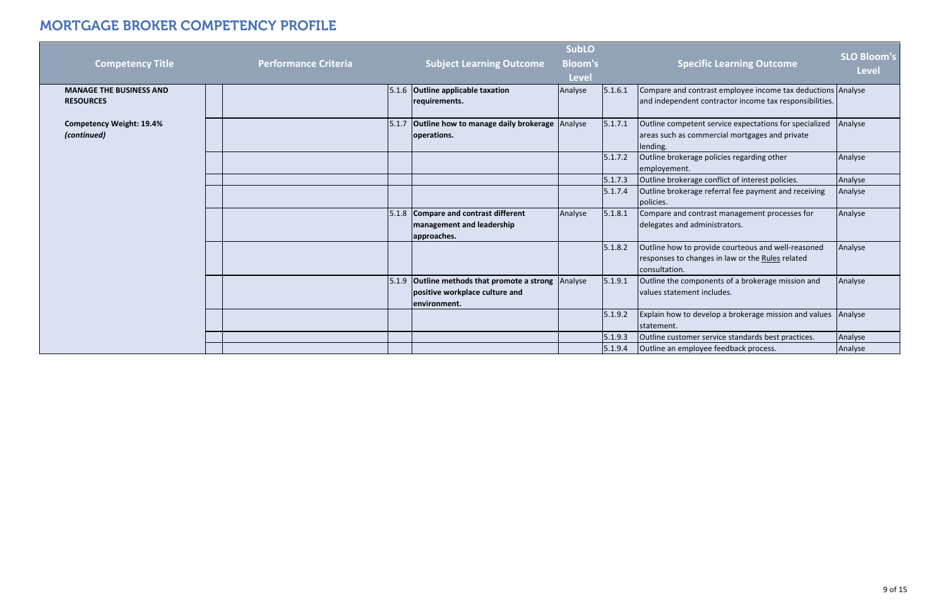| <b>Competency Title</b>                            | <b>Performance Criteria</b> |       | <b>Subject Learning Outcome</b>                                                                        | <b>SubLO</b><br><b>Bloom's</b><br><b>Level</b> |         | <b>Specific Learning Outcome</b>                                                                                        | <b>SLO Bloom's</b><br><b>Level</b> |
|----------------------------------------------------|-----------------------------|-------|--------------------------------------------------------------------------------------------------------|------------------------------------------------|---------|-------------------------------------------------------------------------------------------------------------------------|------------------------------------|
| <b>MANAGE THE BUSINESS AND</b><br><b>RESOURCES</b> |                             |       | 5.1.6 Outline applicable taxation<br>requirements.                                                     | Analyse                                        | 5.1.6.1 | Compare and contrast employee income tax deductions Analyse<br>and independent contractor income tax responsibilities.  |                                    |
| <b>Competency Weight: 19.4%</b><br>(continued)     |                             | 5.1.7 | <b>Outline how to manage daily brokerage</b> Analyse<br>operations.                                    |                                                | 5.1.7.1 | Outline competent service expectations for specialized<br>areas such as commercial mortgages and private<br>lending.    | Analyse                            |
|                                                    |                             |       |                                                                                                        |                                                | 5.1.7.2 | Outline brokerage policies regarding other<br>employement.                                                              | Analyse                            |
|                                                    |                             |       |                                                                                                        |                                                | 5.1.7.3 | Outline brokerage conflict of interest policies.                                                                        | Analyse                            |
|                                                    |                             |       |                                                                                                        |                                                | 5.1.7.4 | Outline brokerage referral fee payment and receiving<br>policies.                                                       | Analyse                            |
|                                                    |                             |       | 5.1.8 Compare and contrast different<br>management and leadership<br>approaches.                       | Analyse                                        | 5.1.8.1 | Compare and contrast management processes for<br>delegates and administrators.                                          | Analyse                            |
|                                                    |                             |       |                                                                                                        |                                                | 5.1.8.2 | Outline how to provide courteous and well-reasoned<br>responses to changes in law or the Rules related<br>consultation. | Analyse                            |
|                                                    |                             | 5.1.9 | <b>Outline methods that promote a strong Analyse</b><br>positive workplace culture and<br>environment. |                                                | 5.1.9.1 | Outline the components of a brokerage mission and<br>values statement includes.                                         | Analyse                            |
|                                                    |                             |       |                                                                                                        |                                                | 5.1.9.2 | Explain how to develop a brokerage mission and values<br>statement.                                                     | Analyse                            |
|                                                    |                             |       |                                                                                                        |                                                | 5.1.9.3 | Outline customer service standards best practices.                                                                      | Analyse                            |
|                                                    |                             |       |                                                                                                        |                                                | 5.1.9.4 | Outline an employee feedback process.                                                                                   | Analyse                            |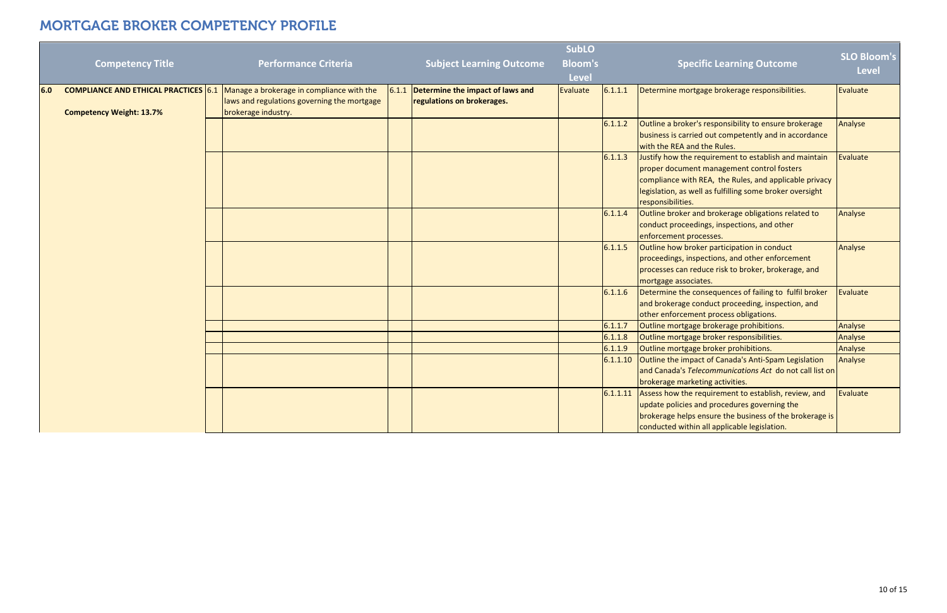|     | <b>Competency Title</b>         | <b>Performance Criteria</b>                                                                                                                                 | <b>Subject Learning Outcome</b>                                      | <b>SubLO</b><br><b>Bloom's</b><br><b>Level</b> |          | <b>Specific Learning Outcome</b>                                                                                                                                                                                                              | <b>SLO Bloom's</b><br><b>Level</b> |
|-----|---------------------------------|-------------------------------------------------------------------------------------------------------------------------------------------------------------|----------------------------------------------------------------------|------------------------------------------------|----------|-----------------------------------------------------------------------------------------------------------------------------------------------------------------------------------------------------------------------------------------------|------------------------------------|
| 6.0 | <b>Competency Weight: 13.7%</b> | <b>COMPLIANCE AND ETHICAL PRACTICES</b> 6.1 Manage a brokerage in compliance with the<br>laws and regulations governing the mortgage<br>brokerage industry. | 6.1.1 Determine the impact of laws and<br>regulations on brokerages. | Evaluate                                       | 6.1.1.1  | Determine mortgage brokerage responsibilities.                                                                                                                                                                                                | Evaluate                           |
|     |                                 |                                                                                                                                                             |                                                                      |                                                | 6.1.1.2  | Outline a broker's responsibility to ensure brokerage<br>business is carried out competently and in accordance<br>with the REA and the Rules.                                                                                                 | Analyse                            |
|     |                                 |                                                                                                                                                             |                                                                      |                                                | 6.1.1.3  | Justify how the requirement to establish and maintain<br>proper document management control fosters<br>compliance with REA, the Rules, and applicable privacy<br>egislation, as well as fulfilling some broker oversight<br>responsibilities. | Evaluate                           |
|     |                                 |                                                                                                                                                             |                                                                      |                                                | 6.1.1.4  | Outline broker and brokerage obligations related to<br>conduct proceedings, inspections, and other<br>enforcement processes.                                                                                                                  | Analyse                            |
|     |                                 |                                                                                                                                                             |                                                                      |                                                | 6.1.1.5  | Outline how broker participation in conduct<br>proceedings, inspections, and other enforcement<br>processes can reduce risk to broker, brokerage, and<br>mortgage associates.                                                                 | Analyse                            |
|     |                                 |                                                                                                                                                             |                                                                      |                                                | 6.1.1.6  | Determine the consequences of failing to fulfil broker<br>and brokerage conduct proceeding, inspection, and<br>other enforcement process obligations.                                                                                         | Evaluate                           |
|     |                                 |                                                                                                                                                             |                                                                      |                                                | 6.1.1.7  | Outline mortgage brokerage prohibitions.                                                                                                                                                                                                      | Analyse                            |
|     |                                 |                                                                                                                                                             |                                                                      |                                                | 6.1.1.8  | Outline mortgage broker responsibilities.                                                                                                                                                                                                     | Analyse                            |
|     |                                 |                                                                                                                                                             |                                                                      |                                                | 6.1.1.9  | Outline mortgage broker prohibitions.                                                                                                                                                                                                         | Analyse                            |
|     |                                 |                                                                                                                                                             |                                                                      |                                                | 6.1.1.10 | Outline the impact of Canada's Anti-Spam Legislation<br>and Canada's Telecommunications Act do not call list on<br>brokerage marketing activities.                                                                                            | Analyse                            |
|     |                                 |                                                                                                                                                             |                                                                      |                                                |          | $6.1.1.11$ Assess how the requirement to establish, review, and<br>update policies and procedures governing the<br>brokerage helps ensure the business of the brokerage is<br>conducted within all applicable legislation.                    | Evaluate                           |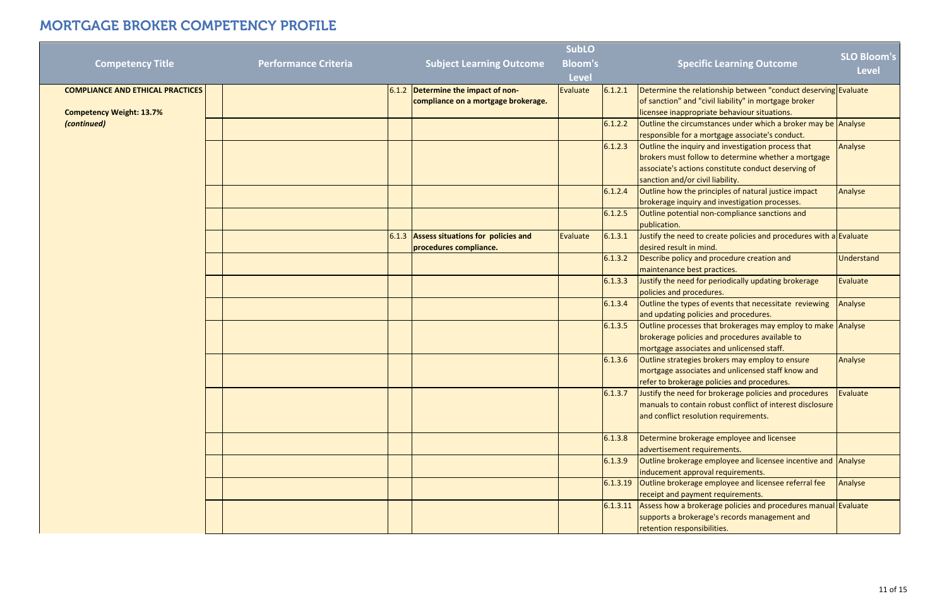| <b>Bloom's</b><br><b>Competency Title</b><br><b>Performance Criteria</b><br><b>Subject Learning Outcome</b><br><b>Level</b><br>$6.1.2$ Determine the impact of non-<br><b>COMPLIANCE AND ETHICAL PRACTICES</b><br>Evaluate<br>6.1.2.1<br>compliance on a mortgage brokerage.<br><b>Competency Weight: 13.7%</b><br>6.1.2.2<br>(continued)<br>6.1.2.3<br>6.1.2.4<br>6.1.2.5<br>publication.<br>Assess situations for policies and<br>Evaluate<br>6.1.3.1<br>Justify the need to creat<br>6.1.3<br>desired result in mind.<br>procedures compliance.<br>6.1.3.2<br>Describe policy and prod<br>maintenance best practi<br>6.1.3.3<br>Justify the need for peri<br>policies and procedures.<br>Outline the types of eve<br>6.1.3.4<br>and updating policies an<br>Outline processes that b<br>6.1.3.5<br>brokerage policies and p<br>mortgage associates and<br>6.1.3.6<br>Outline strategies broke<br>mortgage associates and<br>refer to brokerage polici<br>6.1.3.7 Justify the need for brok<br>manuals to contain robu<br>and conflict resolution re<br>6.1.3.8<br>Determine brokerage er |  |  | <b>SubLO</b> |                             |
|---------------------------------------------------------------------------------------------------------------------------------------------------------------------------------------------------------------------------------------------------------------------------------------------------------------------------------------------------------------------------------------------------------------------------------------------------------------------------------------------------------------------------------------------------------------------------------------------------------------------------------------------------------------------------------------------------------------------------------------------------------------------------------------------------------------------------------------------------------------------------------------------------------------------------------------------------------------------------------------------------------------------------------------------------------------------------------------------|--|--|--------------|-----------------------------|
|                                                                                                                                                                                                                                                                                                                                                                                                                                                                                                                                                                                                                                                                                                                                                                                                                                                                                                                                                                                                                                                                                             |  |  |              | <b>Specific Le</b>          |
|                                                                                                                                                                                                                                                                                                                                                                                                                                                                                                                                                                                                                                                                                                                                                                                                                                                                                                                                                                                                                                                                                             |  |  |              |                             |
|                                                                                                                                                                                                                                                                                                                                                                                                                                                                                                                                                                                                                                                                                                                                                                                                                                                                                                                                                                                                                                                                                             |  |  |              | Determine the relations     |
|                                                                                                                                                                                                                                                                                                                                                                                                                                                                                                                                                                                                                                                                                                                                                                                                                                                                                                                                                                                                                                                                                             |  |  |              | of sanction" and "civil lia |
|                                                                                                                                                                                                                                                                                                                                                                                                                                                                                                                                                                                                                                                                                                                                                                                                                                                                                                                                                                                                                                                                                             |  |  |              | licensee inappropriate b    |
|                                                                                                                                                                                                                                                                                                                                                                                                                                                                                                                                                                                                                                                                                                                                                                                                                                                                                                                                                                                                                                                                                             |  |  |              | Outline the circumstanc     |
|                                                                                                                                                                                                                                                                                                                                                                                                                                                                                                                                                                                                                                                                                                                                                                                                                                                                                                                                                                                                                                                                                             |  |  |              | responsible for a mortga    |
|                                                                                                                                                                                                                                                                                                                                                                                                                                                                                                                                                                                                                                                                                                                                                                                                                                                                                                                                                                                                                                                                                             |  |  |              | Outline the inquiry and i   |
|                                                                                                                                                                                                                                                                                                                                                                                                                                                                                                                                                                                                                                                                                                                                                                                                                                                                                                                                                                                                                                                                                             |  |  |              | brokers must follow to a    |
|                                                                                                                                                                                                                                                                                                                                                                                                                                                                                                                                                                                                                                                                                                                                                                                                                                                                                                                                                                                                                                                                                             |  |  |              | associate's actions const   |
|                                                                                                                                                                                                                                                                                                                                                                                                                                                                                                                                                                                                                                                                                                                                                                                                                                                                                                                                                                                                                                                                                             |  |  |              | sanction and/or civil liab  |
|                                                                                                                                                                                                                                                                                                                                                                                                                                                                                                                                                                                                                                                                                                                                                                                                                                                                                                                                                                                                                                                                                             |  |  |              | Outline how the principl    |
|                                                                                                                                                                                                                                                                                                                                                                                                                                                                                                                                                                                                                                                                                                                                                                                                                                                                                                                                                                                                                                                                                             |  |  |              | brokerage inquiry and in    |
|                                                                                                                                                                                                                                                                                                                                                                                                                                                                                                                                                                                                                                                                                                                                                                                                                                                                                                                                                                                                                                                                                             |  |  |              | Outline potential non-co    |
|                                                                                                                                                                                                                                                                                                                                                                                                                                                                                                                                                                                                                                                                                                                                                                                                                                                                                                                                                                                                                                                                                             |  |  |              |                             |
|                                                                                                                                                                                                                                                                                                                                                                                                                                                                                                                                                                                                                                                                                                                                                                                                                                                                                                                                                                                                                                                                                             |  |  |              |                             |
|                                                                                                                                                                                                                                                                                                                                                                                                                                                                                                                                                                                                                                                                                                                                                                                                                                                                                                                                                                                                                                                                                             |  |  |              |                             |
|                                                                                                                                                                                                                                                                                                                                                                                                                                                                                                                                                                                                                                                                                                                                                                                                                                                                                                                                                                                                                                                                                             |  |  |              |                             |
|                                                                                                                                                                                                                                                                                                                                                                                                                                                                                                                                                                                                                                                                                                                                                                                                                                                                                                                                                                                                                                                                                             |  |  |              |                             |
|                                                                                                                                                                                                                                                                                                                                                                                                                                                                                                                                                                                                                                                                                                                                                                                                                                                                                                                                                                                                                                                                                             |  |  |              |                             |
|                                                                                                                                                                                                                                                                                                                                                                                                                                                                                                                                                                                                                                                                                                                                                                                                                                                                                                                                                                                                                                                                                             |  |  |              |                             |
|                                                                                                                                                                                                                                                                                                                                                                                                                                                                                                                                                                                                                                                                                                                                                                                                                                                                                                                                                                                                                                                                                             |  |  |              |                             |
|                                                                                                                                                                                                                                                                                                                                                                                                                                                                                                                                                                                                                                                                                                                                                                                                                                                                                                                                                                                                                                                                                             |  |  |              |                             |
|                                                                                                                                                                                                                                                                                                                                                                                                                                                                                                                                                                                                                                                                                                                                                                                                                                                                                                                                                                                                                                                                                             |  |  |              |                             |
|                                                                                                                                                                                                                                                                                                                                                                                                                                                                                                                                                                                                                                                                                                                                                                                                                                                                                                                                                                                                                                                                                             |  |  |              |                             |
|                                                                                                                                                                                                                                                                                                                                                                                                                                                                                                                                                                                                                                                                                                                                                                                                                                                                                                                                                                                                                                                                                             |  |  |              |                             |
|                                                                                                                                                                                                                                                                                                                                                                                                                                                                                                                                                                                                                                                                                                                                                                                                                                                                                                                                                                                                                                                                                             |  |  |              |                             |
|                                                                                                                                                                                                                                                                                                                                                                                                                                                                                                                                                                                                                                                                                                                                                                                                                                                                                                                                                                                                                                                                                             |  |  |              |                             |
|                                                                                                                                                                                                                                                                                                                                                                                                                                                                                                                                                                                                                                                                                                                                                                                                                                                                                                                                                                                                                                                                                             |  |  |              |                             |
|                                                                                                                                                                                                                                                                                                                                                                                                                                                                                                                                                                                                                                                                                                                                                                                                                                                                                                                                                                                                                                                                                             |  |  |              |                             |
|                                                                                                                                                                                                                                                                                                                                                                                                                                                                                                                                                                                                                                                                                                                                                                                                                                                                                                                                                                                                                                                                                             |  |  |              |                             |
|                                                                                                                                                                                                                                                                                                                                                                                                                                                                                                                                                                                                                                                                                                                                                                                                                                                                                                                                                                                                                                                                                             |  |  |              |                             |
|                                                                                                                                                                                                                                                                                                                                                                                                                                                                                                                                                                                                                                                                                                                                                                                                                                                                                                                                                                                                                                                                                             |  |  |              |                             |
|                                                                                                                                                                                                                                                                                                                                                                                                                                                                                                                                                                                                                                                                                                                                                                                                                                                                                                                                                                                                                                                                                             |  |  |              | advertisement requirem      |
| 6.1.3.9                                                                                                                                                                                                                                                                                                                                                                                                                                                                                                                                                                                                                                                                                                                                                                                                                                                                                                                                                                                                                                                                                     |  |  |              | Outline brokerage emple     |
|                                                                                                                                                                                                                                                                                                                                                                                                                                                                                                                                                                                                                                                                                                                                                                                                                                                                                                                                                                                                                                                                                             |  |  |              | inducement approval re      |
| 6.1.3.19 Outline brokerage emple                                                                                                                                                                                                                                                                                                                                                                                                                                                                                                                                                                                                                                                                                                                                                                                                                                                                                                                                                                                                                                                            |  |  |              |                             |
|                                                                                                                                                                                                                                                                                                                                                                                                                                                                                                                                                                                                                                                                                                                                                                                                                                                                                                                                                                                                                                                                                             |  |  |              | receipt and payment red     |
| $6.1.3.11$ Assess how a brokerage                                                                                                                                                                                                                                                                                                                                                                                                                                                                                                                                                                                                                                                                                                                                                                                                                                                                                                                                                                                                                                                           |  |  |              |                             |
|                                                                                                                                                                                                                                                                                                                                                                                                                                                                                                                                                                                                                                                                                                                                                                                                                                                                                                                                                                                                                                                                                             |  |  |              | supports a brokerage's r    |
|                                                                                                                                                                                                                                                                                                                                                                                                                                                                                                                                                                                                                                                                                                                                                                                                                                                                                                                                                                                                                                                                                             |  |  |              | retention responsibilitie   |

| <b>SubLO</b><br><b>Bloom's</b> |          | <b>Specific Learning Outcome</b>                                                                                                                                                                     | <b>SLO Bloom's</b> |
|--------------------------------|----------|------------------------------------------------------------------------------------------------------------------------------------------------------------------------------------------------------|--------------------|
| <b>Level</b>                   |          |                                                                                                                                                                                                      | <b>Level</b>       |
| Evaluate                       | 6.1.2.1  | Determine the relationship between "conduct deserving Evaluate<br>of sanction" and "civil liability" in mortgage broker<br>licensee inappropriate behaviour situations.                              |                    |
|                                | 6.1.2.2  | Outline the circumstances under which a broker may be Analyse<br>responsible for a mortgage associate's conduct.                                                                                     |                    |
|                                | 6.1.2.3  | Outline the inquiry and investigation process that<br>brokers must follow to determine whether a mortgage<br>associate's actions constitute conduct deserving of<br>sanction and/or civil liability. | Analyse            |
|                                | 6.1.2.4  | Outline how the principles of natural justice impact<br>brokerage inquiry and investigation processes.                                                                                               | Analyse            |
|                                | 6.1.2.5  | Outline potential non-compliance sanctions and<br>publication.                                                                                                                                       |                    |
| Evaluate                       | 6.1.3.1  | Justify the need to create policies and procedures with a Evaluate<br>desired result in mind.                                                                                                        |                    |
|                                | 6.1.3.2  | Describe policy and procedure creation and<br>maintenance best practices.                                                                                                                            | <b>Understand</b>  |
|                                | 6.1.3.3  | Justify the need for periodically updating brokerage<br>policies and procedures.                                                                                                                     | <b>Evaluate</b>    |
|                                | 6.1.3.4  | Outline the types of events that necessitate reviewing<br>and updating policies and procedures.                                                                                                      | Analyse            |
|                                | 6.1.3.5  | Outline processes that brokerages may employ to make<br>brokerage policies and procedures available to<br>mortgage associates and unlicensed staff.                                                  | Analyse            |
|                                | 6.1.3.6  | Outline strategies brokers may employ to ensure<br>mortgage associates and unlicensed staff know and<br>refer to brokerage policies and procedures.                                                  | Analyse            |
|                                | 6.1.3.7  | Justify the need for brokerage policies and procedures<br>manuals to contain robust conflict of interest disclosure<br>and conflict resolution requirements.                                         | Evaluate           |
|                                | 6.1.3.8  | Determine brokerage employee and licensee<br>advertisement requirements.                                                                                                                             |                    |
|                                | 6.1.3.9  | Outline brokerage employee and licensee incentive and<br>inducement approval requirements.                                                                                                           | Analyse            |
|                                | 6.1.3.19 | Outline brokerage employee and licensee referral fee<br>receipt and payment requirements.                                                                                                            | Analyse            |
|                                | 6.1.3.11 | Assess how a brokerage policies and procedures manual Evaluate<br>supports a brokerage's records management and<br>retention responsibilities.                                                       |                    |
|                                |          |                                                                                                                                                                                                      |                    |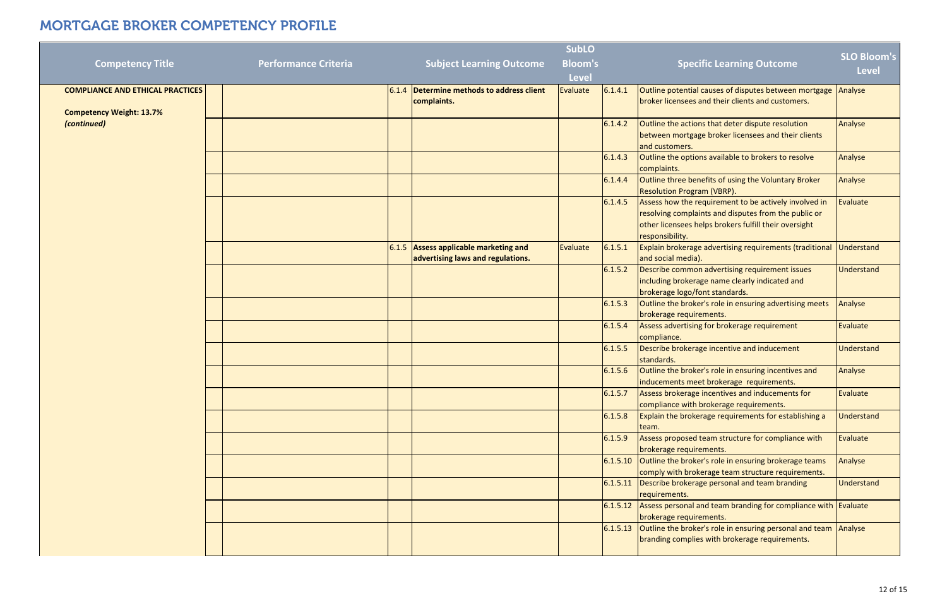|                                                                            |                             |                                                                              | <b>SubLO</b>   |          |                                                                                                                                                                                           |
|----------------------------------------------------------------------------|-----------------------------|------------------------------------------------------------------------------|----------------|----------|-------------------------------------------------------------------------------------------------------------------------------------------------------------------------------------------|
| <b>Competency Title</b>                                                    | <b>Performance Criteria</b> | <b>Subject Learning Outcome</b>                                              | <b>Bloom's</b> |          | <b>Specific Learning Outcome</b>                                                                                                                                                          |
|                                                                            |                             |                                                                              | <b>Level</b>   |          |                                                                                                                                                                                           |
| <b>COMPLIANCE AND ETHICAL PRACTICES</b><br><b>Competency Weight: 13.7%</b> |                             | 6.1.4 Determine methods to address client<br>complaints.                     | Evaluate       | 6.1.4.1  | Outline potential causes of disputes between mortgage<br>broker licensees and their clients and customers.                                                                                |
| (continued)                                                                |                             |                                                                              |                | 6.1.4.2  | Outline the actions that deter dispute resolution<br>between mortgage broker licensees and their clients<br>and customers.                                                                |
|                                                                            |                             |                                                                              |                | 6.1.4.3  | Outline the options available to brokers to resolve<br>complaints.                                                                                                                        |
|                                                                            |                             |                                                                              |                | 6.1.4.4  | Outline three benefits of using the Voluntary Broker<br><b>Resolution Program (VBRP).</b>                                                                                                 |
|                                                                            |                             |                                                                              |                | 6.1.4.5  | Assess how the requirement to be actively involved in<br>resolving complaints and disputes from the public or<br>other licensees helps brokers fulfill their oversight<br>responsibility. |
|                                                                            |                             | $6.1.5$ Assess applicable marketing and<br>advertising laws and regulations. | Evaluate       | 6.1.5.1  | Explain brokerage advertising requirements (traditiona<br>and social media).                                                                                                              |
|                                                                            |                             |                                                                              |                | 6.1.5.2  | Describe common advertising requirement issues<br>including brokerage name clearly indicated and<br>brokerage logo/font standards.                                                        |
|                                                                            |                             |                                                                              |                | 6.1.5.3  | Outline the broker's role in ensuring advertising meets<br>brokerage requirements.                                                                                                        |
|                                                                            |                             |                                                                              |                | 6.1.5.4  | Assess advertising for brokerage requirement<br>compliance.                                                                                                                               |
|                                                                            |                             |                                                                              |                | 6.1.5.5  | Describe brokerage incentive and inducement<br>standards.                                                                                                                                 |
|                                                                            |                             |                                                                              |                | 6.1.5.6  | Outline the broker's role in ensuring incentives and<br>inducements meet brokerage requirements.                                                                                          |
|                                                                            |                             |                                                                              |                | 6.1.5.7  | Assess brokerage incentives and inducements for<br>compliance with brokerage requirements.                                                                                                |
|                                                                            |                             |                                                                              |                | 6.1.5.8  | Explain the brokerage requirements for establishing a<br>Iteam.                                                                                                                           |
|                                                                            |                             |                                                                              |                | 6.1.5.9  | Assess proposed team structure for compliance with<br>brokerage requirements.                                                                                                             |
|                                                                            |                             |                                                                              |                |          | 6.1.5.10 Outline the broker's role in ensuring brokerage teams<br>comply with brokerage team structure requirements.                                                                      |
|                                                                            |                             |                                                                              |                |          | $6.1.5.11$ Describe brokerage personal and team branding<br>requirements.                                                                                                                 |
|                                                                            |                             |                                                                              |                | 6.1.5.12 | Assess personal and team branding for compliance with<br>brokerage requirements.                                                                                                          |
|                                                                            |                             |                                                                              |                | 6.1.5.13 | Outline the broker's role in ensuring personal and team<br>branding complies with brokerage requirements.                                                                                 |

|          | <b>Specific Learning Outcome</b>                                                                                                                                                          | <b>SLO Bloom's</b><br><b>Level</b> |
|----------|-------------------------------------------------------------------------------------------------------------------------------------------------------------------------------------------|------------------------------------|
| 6.1.4.1  | Outline potential causes of disputes between mortgage<br>broker licensees and their clients and customers.                                                                                | Analyse                            |
| 6.1.4.2  | Outline the actions that deter dispute resolution<br>between mortgage broker licensees and their clients<br>and customers.                                                                | Analyse                            |
| 6.1.4.3  | Outline the options available to brokers to resolve<br>complaints.                                                                                                                        | Analyse                            |
| 6.1.4.4  | Outline three benefits of using the Voluntary Broker<br><b>Resolution Program (VBRP).</b>                                                                                                 | Analyse                            |
| 6.1.4.5  | Assess how the requirement to be actively involved in<br>resolving complaints and disputes from the public or<br>other licensees helps brokers fulfill their oversight<br>responsibility. | <b>Evaluate</b>                    |
| 6.1.5.1  | Explain brokerage advertising requirements (traditional<br>and social media).                                                                                                             | <b>Understand</b>                  |
| 6.1.5.2  | Describe common advertising requirement issues<br>including brokerage name clearly indicated and<br>brokerage logo/font standards.                                                        | <b>Understand</b>                  |
| 6.1.5.3  | Outline the broker's role in ensuring advertising meets<br>brokerage requirements.                                                                                                        | Analyse                            |
| 6.1.5.4  | Assess advertising for brokerage requirement<br>compliance.                                                                                                                               | <b>Evaluate</b>                    |
| 6.1.5.5  | Describe brokerage incentive and inducement<br>standards.                                                                                                                                 | Understand                         |
| 6.1.5.6  | Outline the broker's role in ensuring incentives and<br>inducements meet brokerage requirements.                                                                                          | Analyse                            |
| 6.1.5.7  | Assess brokerage incentives and inducements for<br>compliance with brokerage requirements.                                                                                                | Evaluate                           |
| 6.1.5.8  | Explain the brokerage requirements for establishing a<br>team.                                                                                                                            | <b>Understand</b>                  |
| 6.1.5.9  | Assess proposed team structure for compliance with<br>brokerage requirements.                                                                                                             | <b>Evaluate</b>                    |
| 6.1.5.10 | Outline the broker's role in ensuring brokerage teams<br>comply with brokerage team structure requirements.                                                                               | Analyse                            |
| 6.1.5.11 | Describe brokerage personal and team branding<br>requirements.                                                                                                                            | Understand                         |
| 6.1.5.12 | Assess personal and team branding for compliance with<br>brokerage requirements.                                                                                                          | Evaluate                           |
| 6.1.5.13 | Outline the broker's role in ensuring personal and team<br>branding complies with brokerage requirements.                                                                                 | Analyse                            |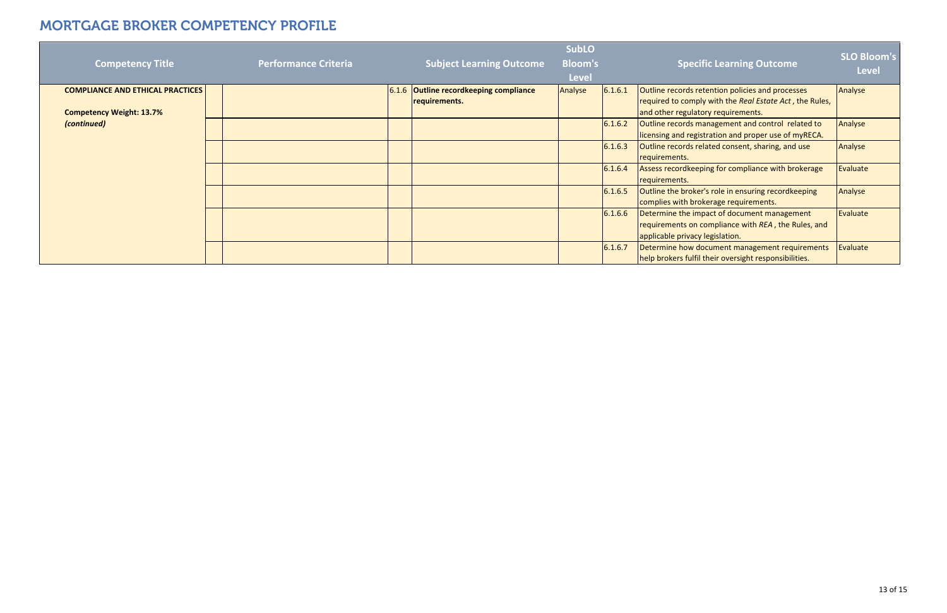| <b>Competency Title</b>                 | <b>Performance Criteria</b> | <b>Subject Learning Outcome</b>           | <b>SubLO</b><br><b>Bloom's</b><br><b>Level</b> |         | <b>Specific Learning Outcome</b>                                                                                                      | <b>SLO Bloom's</b><br><b>Level</b> |
|-----------------------------------------|-----------------------------|-------------------------------------------|------------------------------------------------|---------|---------------------------------------------------------------------------------------------------------------------------------------|------------------------------------|
| <b>COMPLIANCE AND ETHICAL PRACTICES</b> |                             | $6.1.6$ Outline record keeping compliance | Analyse                                        | 6.1.6.1 | Outline records retention policies and processes                                                                                      | Analyse                            |
| <b>Competency Weight: 13.7%</b>         |                             | requirements.                             |                                                |         | required to comply with the Real Estate Act, the Rules,<br>and other regulatory requirements.                                         |                                    |
| (continued)                             |                             |                                           |                                                | 6.1.6.2 | Outline records management and control related to<br>licensing and registration and proper use of myRECA.                             | Analyse                            |
|                                         |                             |                                           |                                                | 6.1.6.3 | Outline records related consent, sharing, and use<br>requirements.                                                                    | Analyse                            |
|                                         |                             |                                           |                                                | 6.1.6.4 | Assess recordkeeping for compliance with brokerage<br>requirements.                                                                   | <b>Evaluate</b>                    |
|                                         |                             |                                           |                                                | 6.1.6.5 | Outline the broker's role in ensuring recordkeeping<br>complies with brokerage requirements.                                          | Analyse                            |
|                                         |                             |                                           |                                                | 6.1.6.6 | Determine the impact of document management<br>requirements on compliance with REA, the Rules, and<br>applicable privacy legislation. | Evaluate                           |
|                                         |                             |                                           |                                                | 6.1.6.7 | Determine how document management requirements<br>help brokers fulfil their oversight responsibilities.                               | Evaluate                           |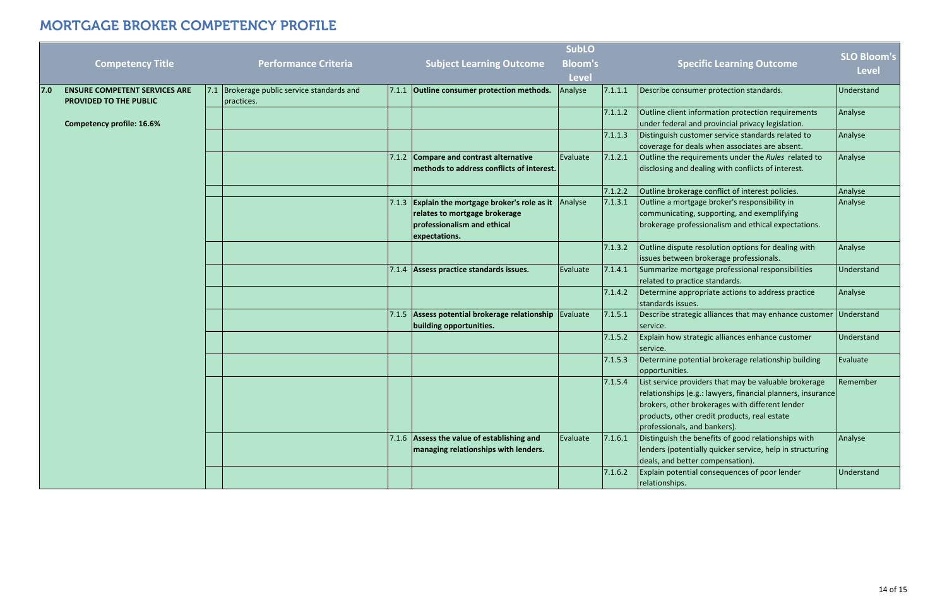|     | <b>Competency Title</b>                                        | <b>Performance Criteria</b>                              |       | <b>Subject Learning Outcome</b>                                                                                                 | <b>SubLO</b><br><b>Bloom's</b><br><b>Level</b> |         | <b>Specific Learning Outcome</b>                                                                                                                                                                                                                        | <b>SLO Bloom's</b><br><b>Level</b> |
|-----|----------------------------------------------------------------|----------------------------------------------------------|-------|---------------------------------------------------------------------------------------------------------------------------------|------------------------------------------------|---------|---------------------------------------------------------------------------------------------------------------------------------------------------------------------------------------------------------------------------------------------------------|------------------------------------|
| 7.0 | <b>ENSURE COMPETENT SERVICES ARE</b><br>PROVIDED TO THE PUBLIC | 7.1 Brokerage public service standards and<br>practices. | 7.1.1 | Outline consumer protection methods.                                                                                            | Analyse                                        | 7.1.1.1 | Describe consumer protection standards.                                                                                                                                                                                                                 | Understand                         |
|     | <b>Competency profile: 16.6%</b>                               |                                                          |       |                                                                                                                                 |                                                | 7.1.1.2 | Outline client information protection requirements<br>under federal and provincial privacy legislation.                                                                                                                                                 | Analyse                            |
|     |                                                                |                                                          |       |                                                                                                                                 |                                                | 7.1.1.3 | Distinguish customer service standards related to<br>coverage for deals when associates are absent.                                                                                                                                                     | Analyse                            |
|     |                                                                |                                                          | 7.1.2 | Compare and contrast alternative<br>methods to address conflicts of interest.                                                   | Evaluate                                       | 7.1.2.1 | Outline the requirements under the Rules related to<br>disclosing and dealing with conflicts of interest.                                                                                                                                               | Analyse                            |
|     |                                                                |                                                          |       |                                                                                                                                 |                                                | 7.1.2.2 | Outline brokerage conflict of interest policies.                                                                                                                                                                                                        | Analyse                            |
|     |                                                                |                                                          |       | 7.1.3 Explain the mortgage broker's role as it<br>relates to mortgage brokerage<br>professionalism and ethical<br>expectations. | Analyse                                        | 7.1.3.1 | Outline a mortgage broker's responsibility in<br>communicating, supporting, and exemplifying<br>brokerage professionalism and ethical expectations.                                                                                                     | Analyse                            |
|     |                                                                |                                                          |       |                                                                                                                                 |                                                | 7.1.3.2 | Outline dispute resolution options for dealing with<br>issues between brokerage professionals.                                                                                                                                                          | Analyse                            |
|     |                                                                |                                                          | 7.1.4 | Assess practice standards issues.                                                                                               | Evaluate                                       | 7.1.4.1 | Summarize mortgage professional responsibilities<br>related to practice standards.                                                                                                                                                                      | Understand                         |
|     |                                                                |                                                          |       |                                                                                                                                 |                                                | 7.1.4.2 | Determine appropriate actions to address practice<br>standards issues.                                                                                                                                                                                  | Analyse                            |
|     |                                                                |                                                          | 7.1.5 | Assess potential brokerage relationship   Evaluate<br>building opportunities.                                                   |                                                | 7.1.5.1 | Describe strategic alliances that may enhance customer<br>service.                                                                                                                                                                                      | Understand                         |
|     |                                                                |                                                          |       |                                                                                                                                 |                                                | 7.1.5.2 | Explain how strategic alliances enhance customer<br>service.                                                                                                                                                                                            | Understand                         |
|     |                                                                |                                                          |       |                                                                                                                                 |                                                | 7.1.5.3 | Determine potential brokerage relationship building<br>opportunities.                                                                                                                                                                                   | Evaluate                           |
|     |                                                                |                                                          |       |                                                                                                                                 |                                                | 7.1.5.4 | List service providers that may be valuable brokerage<br>relationships (e.g.: lawyers, financial planners, insurance<br>brokers, other brokerages with different lender<br>products, other credit products, real estate<br>professionals, and bankers). | Remember                           |
|     |                                                                |                                                          |       | 7.1.6 Assess the value of establishing and<br>managing relationships with lenders.                                              | Evaluate                                       | 7.1.6.1 | Distinguish the benefits of good relationships with<br>lenders (potentially quicker service, help in structuring<br>deals, and better compensation).                                                                                                    | Analyse                            |
|     |                                                                |                                                          |       |                                                                                                                                 |                                                | 7.1.6.2 | Explain potential consequences of poor lender<br>relationships.                                                                                                                                                                                         | Understand                         |